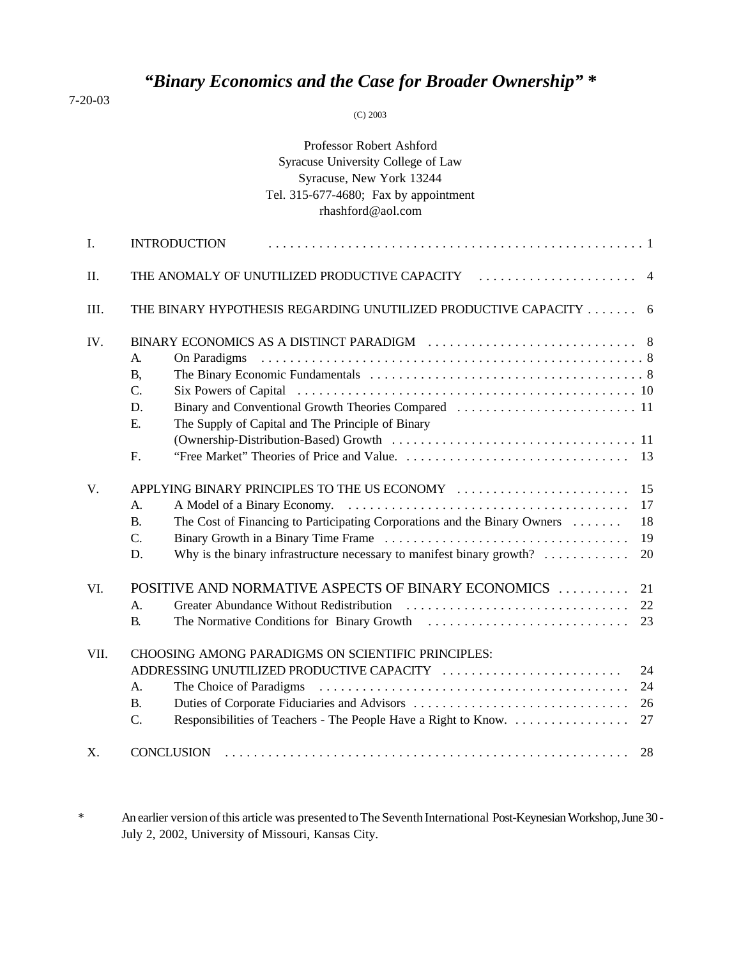# *"Binary Economics and the Case for Broader Ownership"* **\***

7-20-03

(C) 2003

| Professor Robert Ashford              |
|---------------------------------------|
| Syracuse University College of Law    |
| Syracuse, New York 13244              |
| Tel. 315-677-4680; Fax by appointment |
| rhashford@aol.com                     |

| I.   |                                                                   | <b>INTRODUCTION</b>                                                                          |    |  |
|------|-------------------------------------------------------------------|----------------------------------------------------------------------------------------------|----|--|
| II.  |                                                                   |                                                                                              |    |  |
| III. | THE BINARY HYPOTHESIS REGARDING UNUTILIZED PRODUCTIVE CAPACITY  6 |                                                                                              |    |  |
| IV.  |                                                                   |                                                                                              |    |  |
|      | A.                                                                | On Paradigms                                                                                 |    |  |
|      | <b>B</b> ,                                                        |                                                                                              |    |  |
|      | C.                                                                |                                                                                              |    |  |
|      | D.                                                                |                                                                                              |    |  |
|      | E.                                                                | The Supply of Capital and The Principle of Binary                                            |    |  |
|      |                                                                   |                                                                                              |    |  |
|      | F.                                                                |                                                                                              |    |  |
| V.   | APPLYING BINARY PRINCIPLES TO THE US ECONOMY<br>15                |                                                                                              |    |  |
|      | A.                                                                |                                                                                              | 17 |  |
|      | B.                                                                | The Cost of Financing to Participating Corporations and the Binary Owners                    | 18 |  |
|      | $C_{\cdot}$                                                       |                                                                                              | 19 |  |
|      | D.                                                                | Why is the binary infrastructure necessary to manifest binary growth? $\dots\dots\dots\dots$ | 20 |  |
| VI.  |                                                                   | POSITIVE AND NORMATIVE ASPECTS OF BINARY ECONOMICS                                           | 21 |  |
|      | A <sub>1</sub>                                                    |                                                                                              | 22 |  |
|      | <b>B.</b>                                                         |                                                                                              | 23 |  |
| VII. | <b>CHOOSING AMONG PARADIGMS ON SCIENTIFIC PRINCIPLES:</b>         |                                                                                              |    |  |
|      |                                                                   | ADDRESSING UNUTILIZED PRODUCTIVE CAPACITY                                                    | 24 |  |
|      | $A_{\cdot}$                                                       | The Choice of Paradigms                                                                      | 24 |  |
|      | <b>B.</b>                                                         |                                                                                              | 26 |  |
|      | $\mathbf{C}$ .                                                    | Responsibilities of Teachers - The People Have a Right to Know.                              | 27 |  |
| X.   | <b>CONCLUSION</b><br>28                                           |                                                                                              |    |  |

\* An earlier version ofthis article was presented toThe Seventh International Post-Keynesian Workshop, June 30 - July 2, 2002, University of Missouri, Kansas City.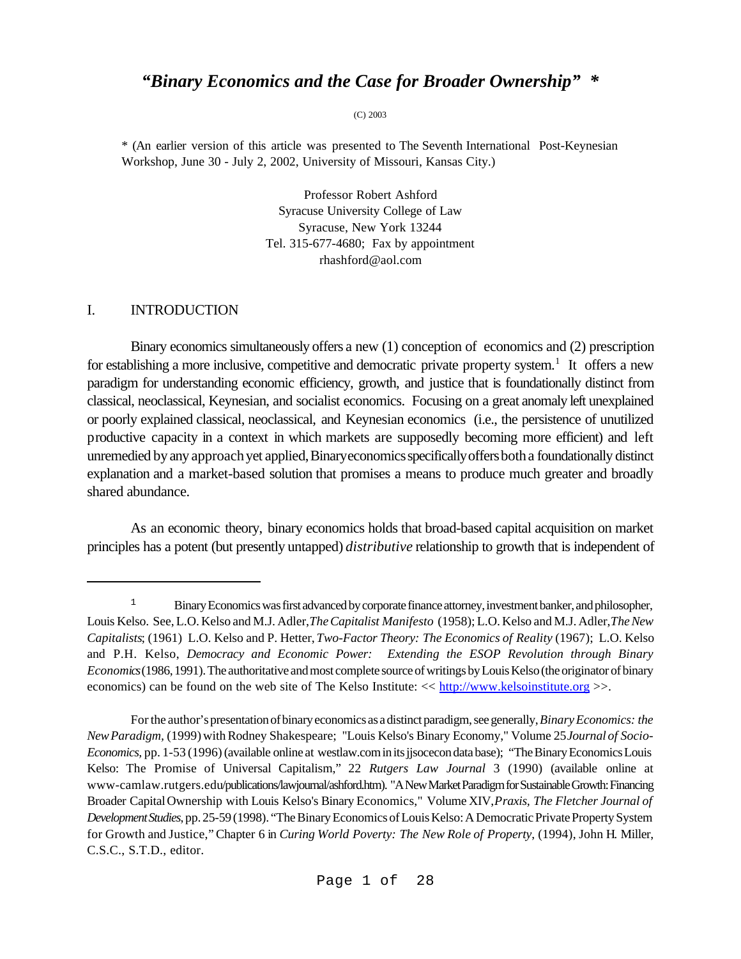# *"Binary Economics and the Case for Broader Ownership" \**

(C) 2003

\* (An earlier version of this article was presented to The Seventh International Post-Keynesian Workshop, June 30 - July 2, 2002, University of Missouri, Kansas City.)

> Professor Robert Ashford Syracuse University College of Law Syracuse, New York 13244 Tel. 315-677-4680; Fax by appointment rhashford@aol.com

### I. INTRODUCTION

Binary economics simultaneously offers a new (1) conception of economics and (2) prescription for establishing a more inclusive, competitive and democratic private property system.<sup>1</sup> It offers a new paradigm for understanding economic efficiency, growth, and justice that is foundationally distinct from classical, neoclassical, Keynesian, and socialist economics. Focusing on a great anomaly left unexplained or poorly explained classical, neoclassical, and Keynesian economics (i.e., the persistence of unutilized productive capacity in a context in which markets are supposedly becoming more efficient) and left unremedied byany approachyet applied,Binaryeconomicsspecificallyoffersbotha foundationally distinct explanation and a market-based solution that promises a means to produce much greater and broadly shared abundance.

As an economic theory, binary economics holds that broad-based capital acquisition on market principles has a potent (but presently untapped) *distributive* relationship to growth that is independent of

<sup>&</sup>lt;sup>1</sup> Binary Economics was first advanced by corporate finance attorney, investment banker, and philosopher, Louis Kelso. See, L.O. Kelso and M.J. Adler, *The Capitalist Manifesto* (1958); L.O. Kelso and M.J. Adler, *The New Capitalists*; (1961) L.O. Kelso and P. Hetter, *Two-Factor Theory: The Economics of Reality* (1967); L.O. Kelso and P.H. Kelso, *Democracy and Economic Power: Extending the ESOP Revolution through Binary Economics* (1986, 1991). The authoritative and most complete source of writings by Louis Kelso (the originator of binary economics) can be found on the web site of The Kelso Institute:  $\langle \times \text{http://www.kelsoinstitute.org} \rangle$ .

Forthe author's presentation of binary economics as a distinct paradigm, see generally,*BinaryEconomics: the New Paradigm,* (1999) with Rodney Shakespeare; "Louis Kelso's Binary Economy," Volume 25 *Journal of Socio-Economics,* pp. 1-53 (1996)(available online at westlaw.com in its jjsocecon data base); "The Binary Economics Louis Kelso: The Promise of Universal Capitalism," 22 *Rutgers Law Journal* 3 (1990) (available online at www-camlaw.rutgers.edu/publications/lawjournal/ashford.htm). "A New Market Paradigm for Sustainable Growth: Financing Broader CapitalOwnership with Louis Kelso's Binary Economics," Volume XIV, *Praxis, The Fletcher Journal of Development Studies*, pp. 25-59 (1998). "The Binary Economics of Louis Kelso: A Democratic Private Property System for Growth and Justice,"Chapter 6 in *Curing World Poverty: The New Role of Property*, (1994), John H. Miller, C.S.C., S.T.D., editor.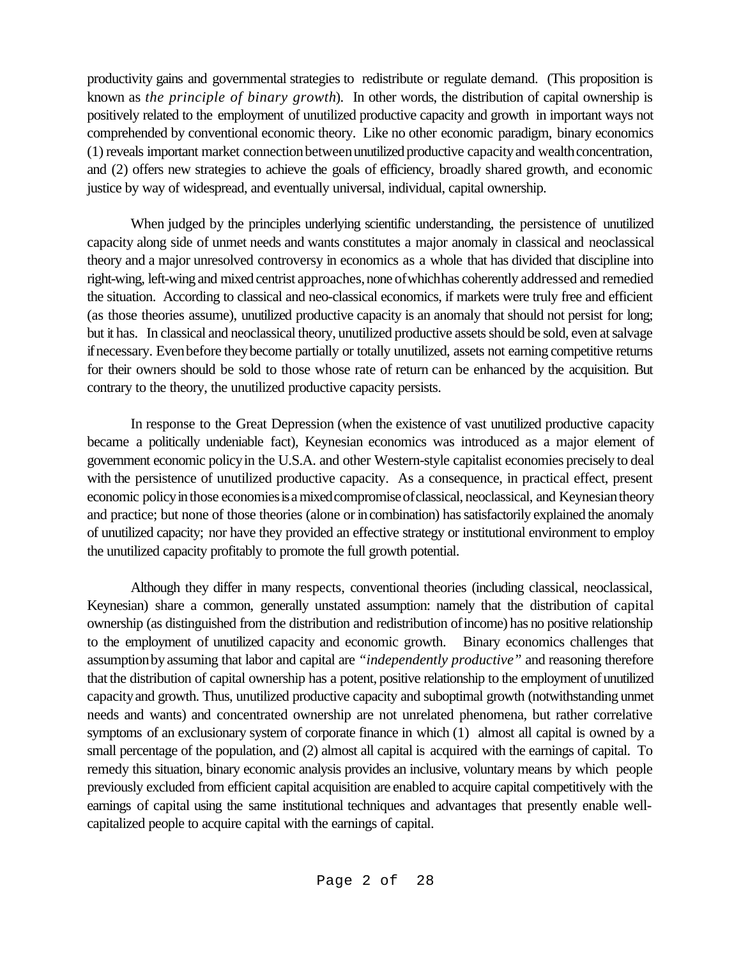productivity gains and governmental strategies to redistribute or regulate demand. (This proposition is known as *the principle of binary growth*). In other words, the distribution of capital ownership is positively related to the employment of unutilized productive capacity and growth in important ways not comprehended by conventional economic theory. Like no other economic paradigm, binary economics (1) reveals important market connection between unutilized productive capacity and wealth concentration, and (2) offers new strategies to achieve the goals of efficiency, broadly shared growth, and economic justice by way of widespread, and eventually universal, individual, capital ownership.

When judged by the principles underlying scientific understanding, the persistence of unutilized capacity along side of unmet needs and wants constitutes a major anomaly in classical and neoclassical theory and a major unresolved controversy in economics as a whole that has divided that discipline into right-wing, left-wing and mixed centrist approaches, none of which has coherently addressed and remedied the situation. According to classical and neo-classical economics, if markets were truly free and efficient (as those theories assume), unutilized productive capacity is an anomaly that should not persist for long; but it has. In classical and neoclassical theory, unutilized productive assets should be sold, even at salvage ifnecessary. Evenbefore theybecome partially or totally unutilized, assets not earning competitive returns for their owners should be sold to those whose rate of return can be enhanced by the acquisition. But contrary to the theory, the unutilized productive capacity persists.

In response to the Great Depression (when the existence of vast unutilized productive capacity became a politically undeniable fact), Keynesian economics was introduced as a major element of government economic policyin the U.S.A. and other Western-style capitalist economies precisely to deal with the persistence of unutilized productive capacity. As a consequence, in practical effect, present economic policy in those economies is a mixed compromise of classical, neoclassical, and Keynesian theory and practice; but none of those theories (alone or in combination) has satisfactorily explained the anomaly of unutilized capacity; nor have they provided an effective strategy or institutional environment to employ the unutilized capacity profitably to promote the full growth potential.

Although they differ in many respects, conventional theories (including classical, neoclassical, Keynesian) share a common, generally unstated assumption: namely that the distribution of capital ownership (as distinguished from the distribution and redistribution ofincome) has no positive relationship to the employment of unutilized capacity and economic growth. Binary economics challenges that assumptionbyassuming that labor and capital are *"independently productive"* and reasoning therefore that the distribution of capital ownership has a potent, positive relationship to the employment of unutilized capacityand growth. Thus, unutilized productive capacity and suboptimal growth (notwithstanding unmet needs and wants) and concentrated ownership are not unrelated phenomena, but rather correlative symptoms of an exclusionary system of corporate finance in which (1) almost all capital is owned by a small percentage of the population, and (2) almost all capital is acquired with the earnings of capital. To remedy this situation, binary economic analysis provides an inclusive, voluntary means by which people previously excluded from efficient capital acquisition are enabled to acquire capital competitively with the earnings of capital using the same institutional techniques and advantages that presently enable wellcapitalized people to acquire capital with the earnings of capital.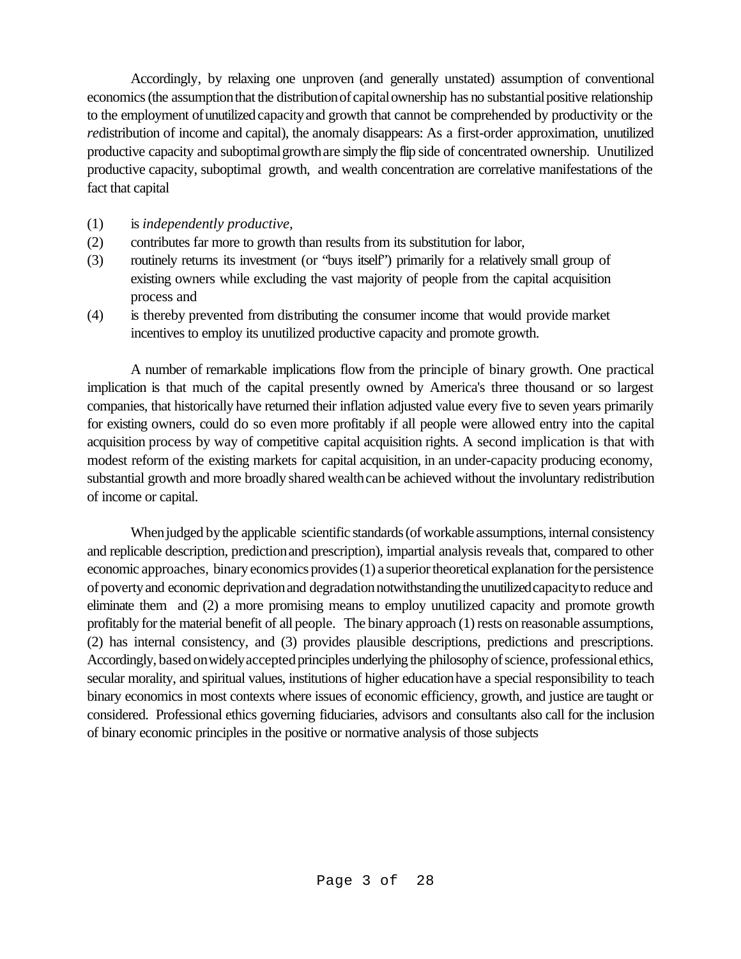Accordingly, by relaxing one unproven (and generally unstated) assumption of conventional economics (the assumption that the distribution of capital ownership has no substantial positive relationship to the employment ofunutilized capacityand growth that cannot be comprehended by productivity or the *re*distribution of income and capital), the anomaly disappears: As a first-order approximation, unutilized productive capacity and suboptimalgrowthare simply the flip side of concentrated ownership. Unutilized productive capacity, suboptimal growth, and wealth concentration are correlative manifestations of the fact that capital

- (1) is *independently productive,*
- (2) contributes far more to growth than results from its substitution for labor,
- (3) routinely returns its investment (or "buys itself") primarily for a relatively small group of existing owners while excluding the vast majority of people from the capital acquisition process and
- (4) is thereby prevented from distributing the consumer income that would provide market incentives to employ its unutilized productive capacity and promote growth.

A number of remarkable implications flow from the principle of binary growth. One practical implication is that much of the capital presently owned by America's three thousand or so largest companies, that historically have returned their inflation adjusted value every five to seven years primarily for existing owners, could do so even more profitably if all people were allowed entry into the capital acquisition process by way of competitive capital acquisition rights. A second implication is that with modest reform of the existing markets for capital acquisition, in an under-capacity producing economy, substantial growth and more broadly shared wealth can be achieved without the involuntary redistribution of income or capital.

When judged by the applicable scientific standards (of workable assumptions, internal consistency and replicable description, predictionand prescription), impartial analysis reveals that, compared to other economic approaches, binary economics provides (1) a superior theoretical explanation for the persistence of poverty and economic deprivation and degradation notwithstanding the unutilized capacity to reduce and eliminate them and (2) a more promising means to employ unutilized capacity and promote growth profitably for the material benefit of all people. The binary approach (1) rests on reasonable assumptions, (2) has internal consistency, and (3) provides plausible descriptions, predictions and prescriptions. Accordingly, based on widely accepted principles underlying the philosophy of science, professional ethics, secular morality, and spiritual values, institutions of higher educationhave a special responsibility to teach binary economics in most contexts where issues of economic efficiency, growth, and justice are taught or considered. Professional ethics governing fiduciaries, advisors and consultants also call for the inclusion of binary economic principles in the positive or normative analysis of those subjects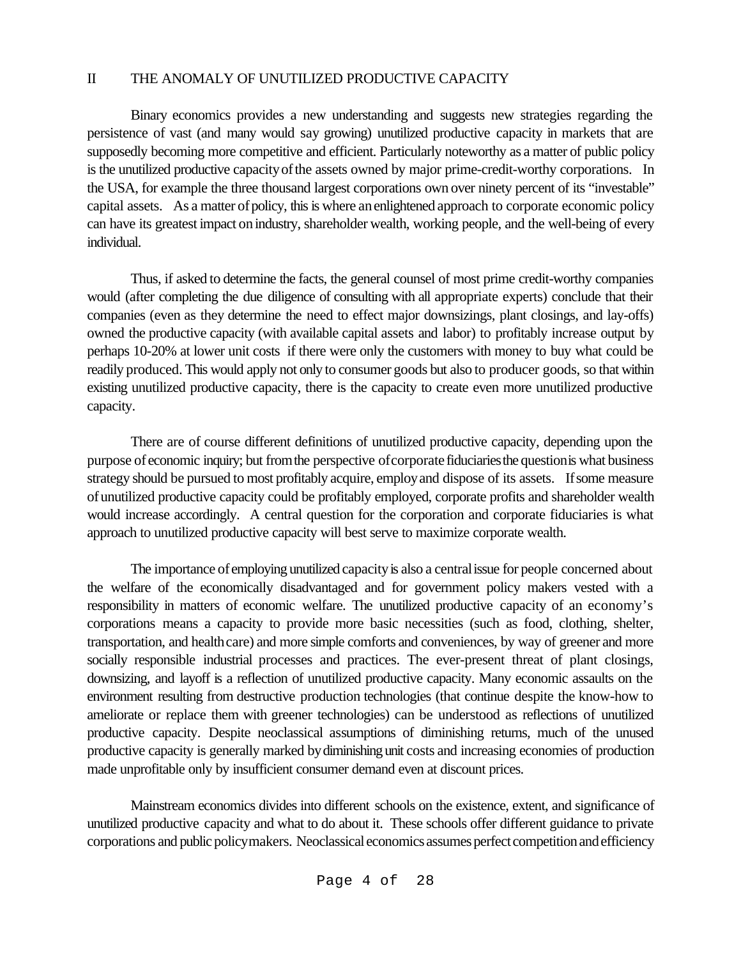### II THE ANOMALY OF UNUTILIZED PRODUCTIVE CAPACITY

Binary economics provides a new understanding and suggests new strategies regarding the persistence of vast (and many would say growing) unutilized productive capacity in markets that are supposedly becoming more competitive and efficient. Particularly noteworthy as a matter of public policy is the unutilized productive capacity of the assets owned by major prime-credit-worthy corporations. In the USA, for example the three thousand largest corporations own over ninety percent of its "investable" capital assets. As a matter of policy, this is where an enlightened approach to corporate economic policy can have its greatest impact on industry, shareholder wealth, working people, and the well-being of every individual.

Thus, if asked to determine the facts, the general counsel of most prime credit-worthy companies would (after completing the due diligence of consulting with all appropriate experts) conclude that their companies (even as they determine the need to effect major downsizings, plant closings, and lay-offs) owned the productive capacity (with available capital assets and labor) to profitably increase output by perhaps 10-20% at lower unit costs if there were only the customers with money to buy what could be readily produced. This would apply not only to consumer goods but also to producer goods, so that within existing unutilized productive capacity, there is the capacity to create even more unutilized productive capacity.

There are of course different definitions of unutilized productive capacity, depending upon the purpose of economic inquiry; but from the perspective of corporate fiduciaries the questionis what business strategy should be pursued to most profitably acquire, employ and dispose of its assets. If some measure ofunutilized productive capacity could be profitably employed, corporate profits and shareholder wealth would increase accordingly. A central question for the corporation and corporate fiduciaries is what approach to unutilized productive capacity will best serve to maximize corporate wealth.

The importance of employing unutilized capacity is also a central issue for people concerned about the welfare of the economically disadvantaged and for government policy makers vested with a responsibility in matters of economic welfare. The unutilized productive capacity of an economy's corporations means a capacity to provide more basic necessities (such as food, clothing, shelter, transportation, and healthcare) and more simple comforts and conveniences, by way of greener and more socially responsible industrial processes and practices. The ever-present threat of plant closings, downsizing, and layoff is a reflection of unutilized productive capacity. Many economic assaults on the environment resulting from destructive production technologies (that continue despite the know-how to ameliorate or replace them with greener technologies) can be understood as reflections of unutilized productive capacity. Despite neoclassical assumptions of diminishing returns, much of the unused productive capacity is generally marked by diminishing unit costs and increasing economies of production made unprofitable only by insufficient consumer demand even at discount prices.

Mainstream economics divides into different schools on the existence, extent, and significance of unutilized productive capacity and what to do about it. These schools offer different guidance to private corporations and public policymakers. Neoclassical economics assumes perfect competition and efficiency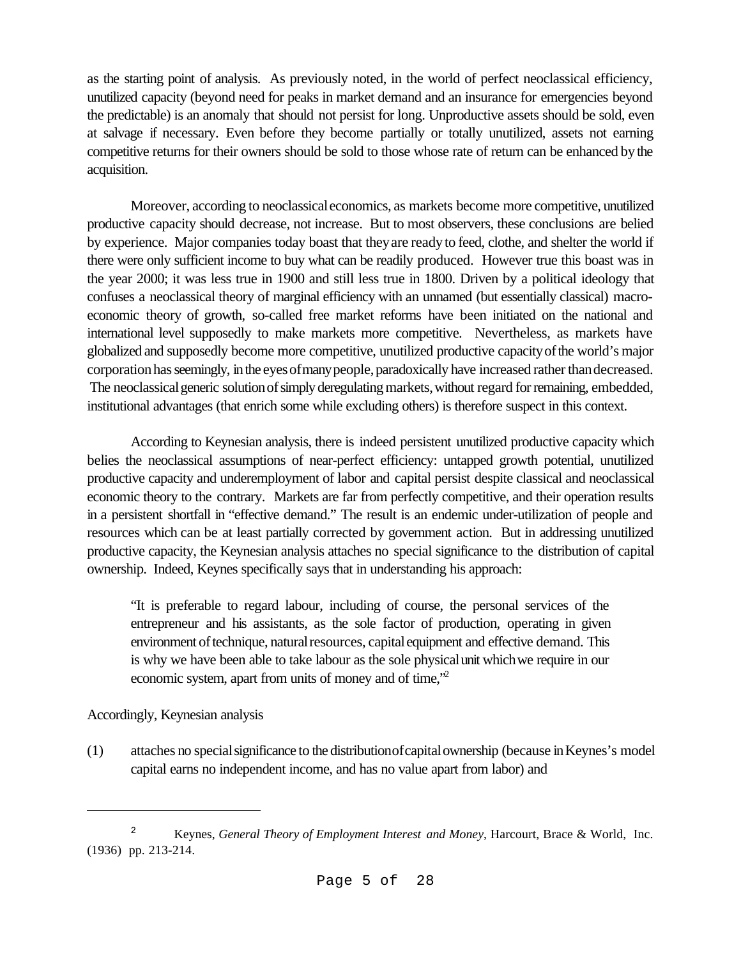as the starting point of analysis. As previously noted, in the world of perfect neoclassical efficiency, unutilized capacity (beyond need for peaks in market demand and an insurance for emergencies beyond the predictable) is an anomaly that should not persist for long. Unproductive assets should be sold, even at salvage if necessary. Even before they become partially or totally unutilized, assets not earning competitive returns for their owners should be sold to those whose rate of return can be enhanced bythe acquisition.

Moreover, according to neoclassicaleconomics, as markets become more competitive, unutilized productive capacity should decrease, not increase. But to most observers, these conclusions are belied by experience. Major companies today boast that they are ready to feed, clothe, and shelter the world if there were only sufficient income to buy what can be readily produced. However true this boast was in the year 2000; it was less true in 1900 and still less true in 1800. Driven by a political ideology that confuses a neoclassical theory of marginal efficiency with an unnamed (but essentially classical) macroeconomic theory of growth, so-called free market reforms have been initiated on the national and international level supposedly to make markets more competitive. Nevertheless, as markets have globalized and supposedly become more competitive, unutilized productive capacityofthe world's major corporation has seemingly, in the eyes of many people, paradoxically have increased rather than decreased. The neoclassical generic solution of simply deregulating markets, without regard for remaining, embedded, institutional advantages (that enrich some while excluding others) is therefore suspect in this context.

According to Keynesian analysis, there is indeed persistent unutilized productive capacity which belies the neoclassical assumptions of near-perfect efficiency: untapped growth potential, unutilized productive capacity and underemployment of labor and capital persist despite classical and neoclassical economic theory to the contrary. Markets are far from perfectly competitive, and their operation results in a persistent shortfall in "effective demand." The result is an endemic under-utilization of people and resources which can be at least partially corrected by government action. But in addressing unutilized productive capacity, the Keynesian analysis attaches no special significance to the distribution of capital ownership. Indeed, Keynes specifically says that in understanding his approach:

"It is preferable to regard labour, including of course, the personal services of the entrepreneur and his assistants, as the sole factor of production, operating in given environment of technique, natural resources, capital equipment and effective demand. This is why we have been able to take labour as the sole physical unit which we require in our economic system, apart from units of money and of time,"<sup>2</sup>

Accordingly, Keynesian analysis

(1) attaches no specialsignificance to the distributionofcapitalownership (because inKeynes's model capital earns no independent income, and has no value apart from labor) and

<sup>2</sup> Keynes, *General Theory of Employment Interest and Money*, Harcourt, Brace & World, Inc. (1936) pp. 213-214.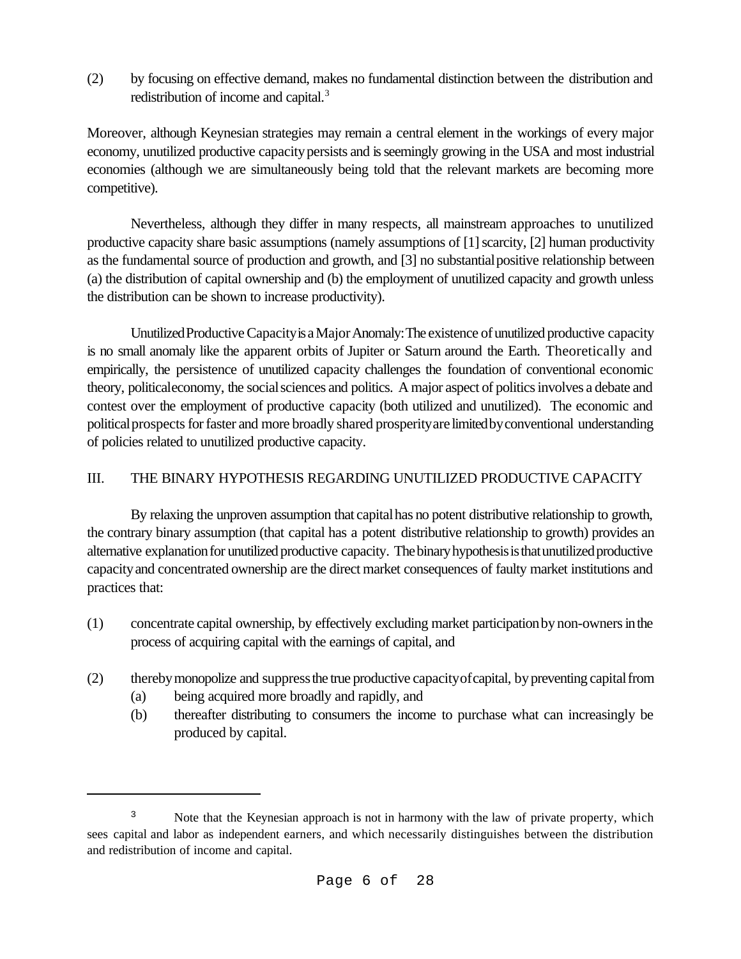(2) by focusing on effective demand, makes no fundamental distinction between the distribution and redistribution of income and capital.<sup>3</sup>

Moreover, although Keynesian strategies may remain a central element in the workings of every major economy, unutilized productive capacity persists and is seemingly growing in the USA and most industrial economies (although we are simultaneously being told that the relevant markets are becoming more competitive).

Nevertheless, although they differ in many respects, all mainstream approaches to unutilized productive capacity share basic assumptions (namely assumptions of  $[1]$  scarcity,  $[2]$  human productivity as the fundamental source of production and growth, and [3] no substantialpositive relationship between (a) the distribution of capital ownership and (b) the employment of unutilized capacity and growth unless the distribution can be shown to increase productivity).

Unutilized Productive Capacity is a Major Anomaly: The existence of unutilized productive capacity is no small anomaly like the apparent orbits of Jupiter or Saturn around the Earth. Theoretically and empirically, the persistence of unutilized capacity challenges the foundation of conventional economic theory, politicaleconomy, the socialsciences and politics. A major aspect of politics involves a debate and contest over the employment of productive capacity (both utilized and unutilized). The economic and political prospects for faster and more broadly shared prosperity are limited by conventional understanding of policies related to unutilized productive capacity.

## III. THE BINARY HYPOTHESIS REGARDING UNUTILIZED PRODUCTIVE CAPACITY

By relaxing the unproven assumption that capital has no potent distributive relationship to growth, the contrary binary assumption (that capital has a potent distributive relationship to growth) provides an alternative explanation for unutilized productive capacity. The binary hypothesis is that unutilized productive capacityand concentrated ownership are the direct market consequences of faulty market institutions and practices that:

- (1) concentrate capital ownership, by effectively excluding market participation by non-owners in the process of acquiring capital with the earnings of capital, and
- (2) therebymonopolize and suppressthe true productive capacityofcapital, bypreventing capitalfrom (a) being acquired more broadly and rapidly, and
	- (b) thereafter distributing to consumers the income to purchase what can increasingly be produced by capital.

<sup>&</sup>lt;sup>3</sup> Note that the Keynesian approach is not in harmony with the law of private property, which sees capital and labor as independent earners, and which necessarily distinguishes between the distribution and redistribution of income and capital.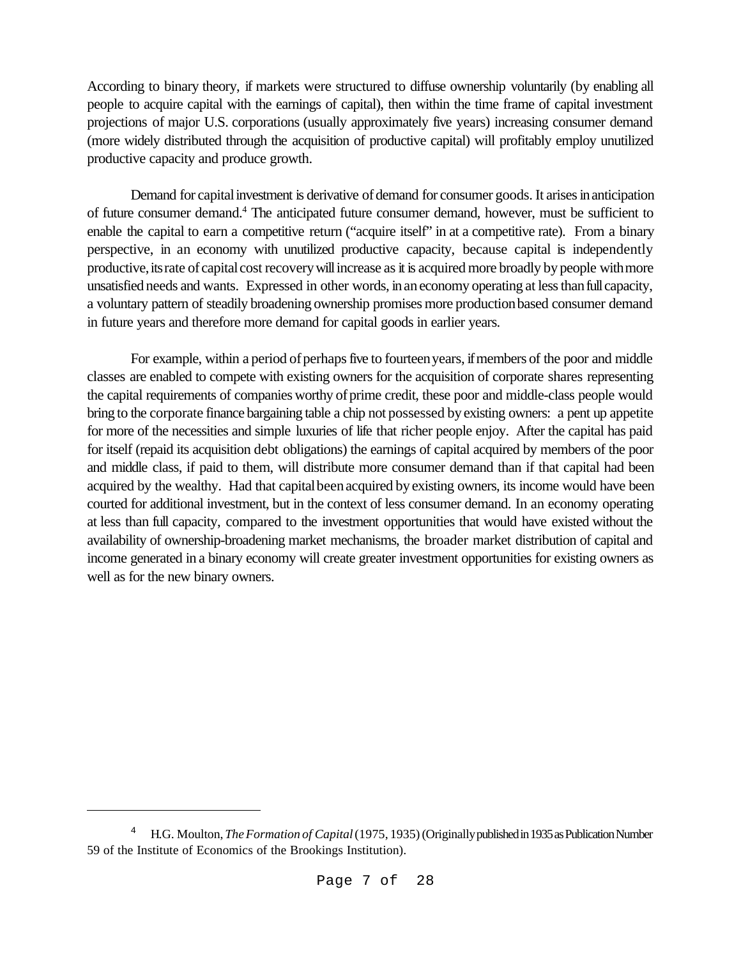According to binary theory, if markets were structured to diffuse ownership voluntarily (by enabling all people to acquire capital with the earnings of capital), then within the time frame of capital investment projections of major U.S. corporations (usually approximately five years) increasing consumer demand (more widely distributed through the acquisition of productive capital) will profitably employ unutilized productive capacity and produce growth.

Demand for capital investment is derivative of demand for consumer goods. It arises in anticipation of future consumer demand.<sup>4</sup> The anticipated future consumer demand, however, must be sufficient to enable the capital to earn a competitive return ("acquire itself" in at a competitive rate). From a binary perspective, in an economy with unutilized productive capacity, because capital is independently productive, its rate of capital cost recovery will increase as it is acquired more broadly by people with more unsatisfied needs and wants. Expressed in other words, in an economy operating at less than full capacity, a voluntary pattern of steadily broadening ownership promises more production based consumer demand in future years and therefore more demand for capital goods in earlier years.

For example, within a period of perhaps five to fourteen years, if members of the poor and middle classes are enabled to compete with existing owners for the acquisition of corporate shares representing the capital requirements of companies worthy of prime credit, these poor and middle-class people would bring to the corporate finance bargaining table a chip not possessed byexisting owners: a pent up appetite for more of the necessities and simple luxuries of life that richer people enjoy. After the capital has paid for itself (repaid its acquisition debt obligations) the earnings of capital acquired by members of the poor and middle class, if paid to them, will distribute more consumer demand than if that capital had been acquired by the wealthy. Had that capital been acquired by existing owners, its income would have been courted for additional investment, but in the context of less consumer demand. In an economy operating at less than full capacity, compared to the investment opportunities that would have existed without the availability of ownership-broadening market mechanisms, the broader market distribution of capital and income generated in a binary economy will create greater investment opportunities for existing owners as well as for the new binary owners.

<sup>4</sup> H.G. Moulton,*TheFormation of Capital*(1975, 1935)(Originally published in 1935 as Publication Number 59 of the Institute of Economics of the Brookings Institution).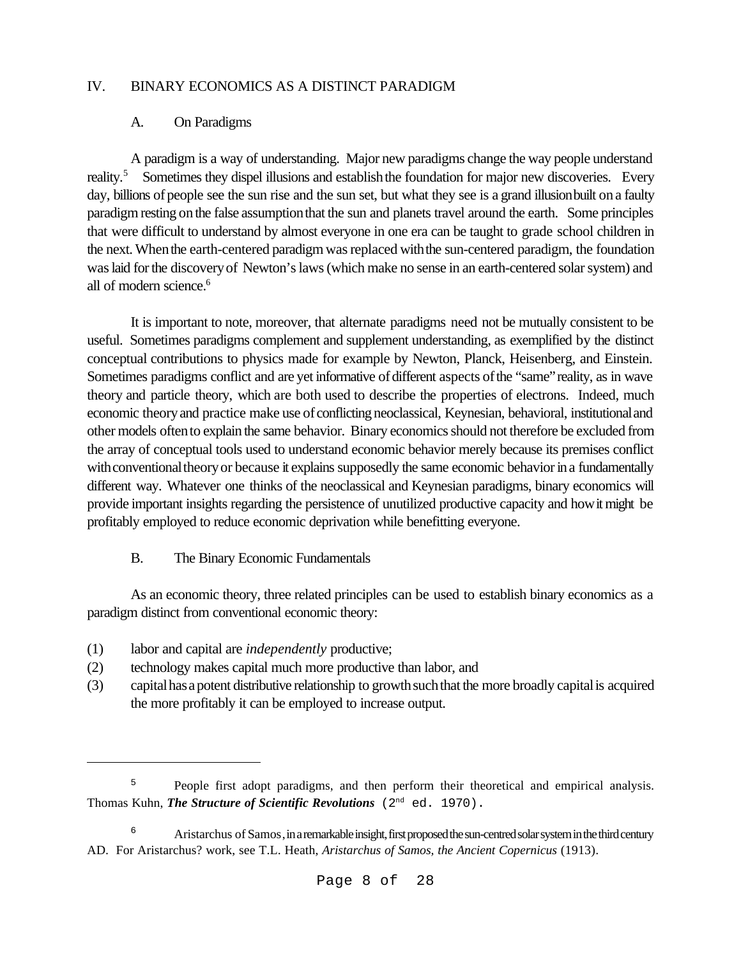## IV. BINARY ECONOMICS AS A DISTINCT PARADIGM

## A. On Paradigms

A paradigm is a way of understanding. Major new paradigms change the way people understand reality.<sup>5</sup> Sometimes they dispel illusions and establish the foundation for major new discoveries. Every day, billions of people see the sun rise and the sun set, but what they see is a grand illusion built on a faulty paradigm resting on the false assumption that the sun and planets travel around the earth. Some principles that were difficult to understand by almost everyone in one era can be taught to grade school children in the next. When the earth-centered paradigm was replaced with the sun-centered paradigm, the foundation waslaid forthe discoveryof Newton's laws (which make no sense in an earth-centered solar system) and all of modern science.<sup>6</sup>

It is important to note, moreover, that alternate paradigms need not be mutually consistent to be useful. Sometimes paradigms complement and supplement understanding, as exemplified by the distinct conceptual contributions to physics made for example by Newton, Planck, Heisenberg, and Einstein. Sometimes paradigms conflict and are yet informative of different aspects of the "same" reality, as in wave theory and particle theory, which are both used to describe the properties of electrons. Indeed, much economic theoryand practice make use of conflicting neoclassical, Keynesian, behavioral, institutionaland other models oftento explain the same behavior. Binary economics should not therefore be excluded from the array of conceptual tools used to understand economic behavior merely because its premises conflict with conventional theory or because it explains supposedly the same economic behavior in a fundamentally different way. Whatever one thinks of the neoclassical and Keynesian paradigms, binary economics will provide important insights regarding the persistence of unutilized productive capacity and howit might be profitably employed to reduce economic deprivation while benefitting everyone.

### B. The Binary Economic Fundamentals

As an economic theory, three related principles can be used to establish binary economics as a paradigm distinct from conventional economic theory:

- (1) labor and capital are *independently* productive;
- (2) technology makes capital much more productive than labor, and
- (3) capitalhasapotent distributive relationship to growthsuchthat the more broadly capitalis acquired the more profitably it can be employed to increase output.

<sup>&</sup>lt;sup>5</sup> People first adopt paradigms, and then perform their theoretical and empirical analysis. Thomas Kuhn, *The Structure of Scientific Revolutions* (2<sup>nd</sup> ed. 1970).

<sup>&</sup>lt;sup>6</sup> Aristarchus of Samos, in a remarkable insight, first proposed the sun-centred solar system in the third century AD. For Aristarchus? work, see T.L. Heath, *Aristarchus of Samos, the Ancient Copernicus* (1913).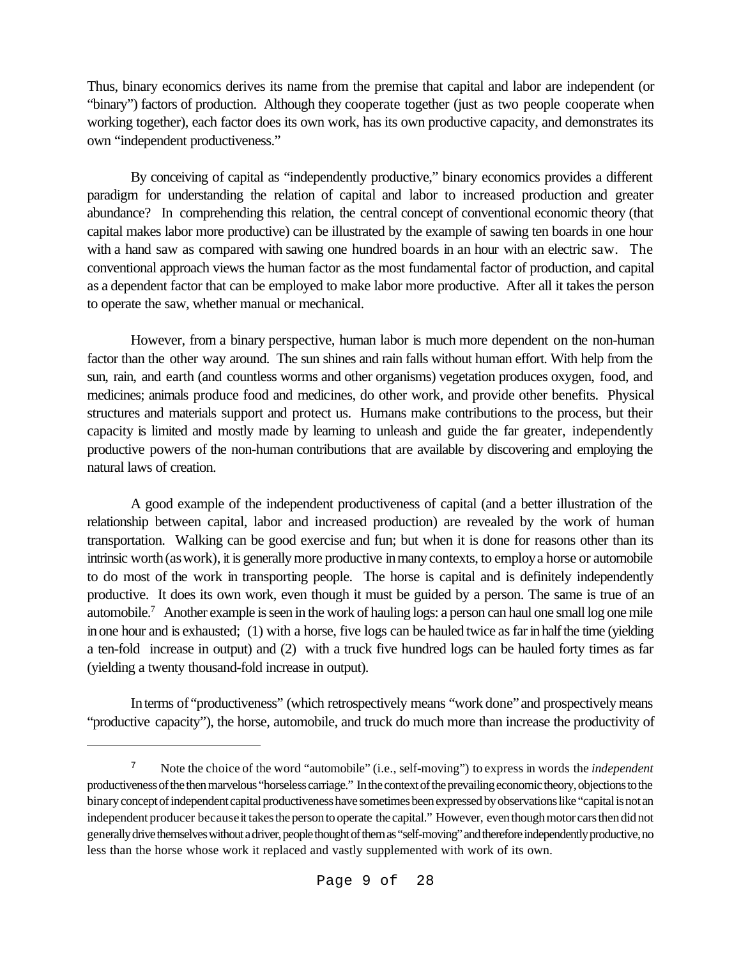Thus, binary economics derives its name from the premise that capital and labor are independent (or "binary") factors of production. Although they cooperate together (just as two people cooperate when working together), each factor does its own work, has its own productive capacity, and demonstrates its own "independent productiveness."

By conceiving of capital as "independently productive," binary economics provides a different paradigm for understanding the relation of capital and labor to increased production and greater abundance? In comprehending this relation, the central concept of conventional economic theory (that capital makes labor more productive) can be illustrated by the example of sawing ten boards in one hour with a hand saw as compared with sawing one hundred boards in an hour with an electric saw. The conventional approach views the human factor as the most fundamental factor of production, and capital as a dependent factor that can be employed to make labor more productive. After all it takes the person to operate the saw, whether manual or mechanical.

However, from a binary perspective, human labor is much more dependent on the non-human factor than the other way around. The sun shines and rain falls without human effort. With help from the sun, rain, and earth (and countless worms and other organisms) vegetation produces oxygen, food, and medicines; animals produce food and medicines, do other work, and provide other benefits. Physical structures and materials support and protect us. Humans make contributions to the process, but their capacity is limited and mostly made by learning to unleash and guide the far greater, independently productive powers of the non-human contributions that are available by discovering and employing the natural laws of creation.

A good example of the independent productiveness of capital (and a better illustration of the relationship between capital, labor and increased production) are revealed by the work of human transportation. Walking can be good exercise and fun; but when it is done for reasons other than its intrinsic worth (as work), it is generally more productive in many contexts, to employ a horse or automobile to do most of the work in transporting people. The horse is capital and is definitely independently productive. It does its own work, even though it must be guided by a person. The same is true of an automobile.<sup>7</sup> Another example is seen in the work of hauling logs: a person can haul one small log one mile in one hour and is exhausted; (1) with a horse, five logs can be hauled twice as far in half the time (yielding a ten-fold increase in output) and (2) with a truck five hundred logs can be hauled forty times as far (yielding a twenty thousand-fold increase in output).

Interms of "productiveness" (which retrospectively means "work done"and prospectively means "productive capacity"), the horse, automobile, and truck do much more than increase the productivity of

<sup>7</sup> Note the choice of the word "automobile" (i.e., self-moving") to express in words the *independent* productiveness of the then marvelous "horseless carriage." In the context of the prevailing economic theory, objections to the binary concept of independent capital productiveness have sometimes been expressed by observations like "capital is not an independent producer becauseit takes the person to operate the capital." However, even though motor cars then did not generally drive themselves without a driver, people thought of them as "self-moving" and therefore independently productive, no less than the horse whose work it replaced and vastly supplemented with work of its own.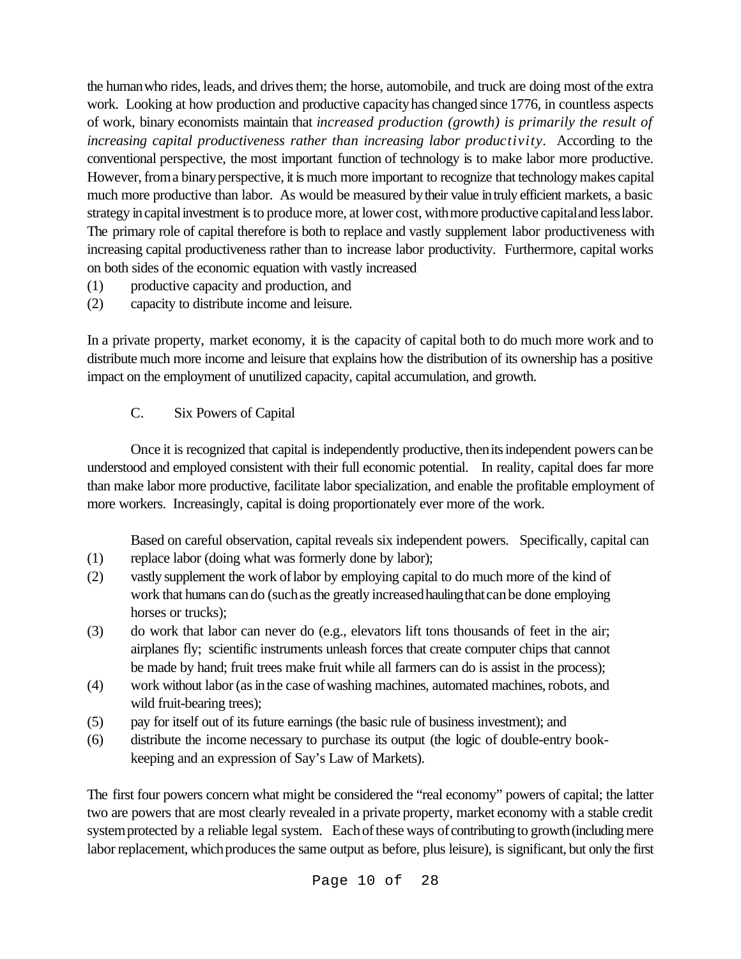the human who rides, leads, and drives them; the horse, automobile, and truck are doing most of the extra work. Looking at how production and productive capacityhas changed since 1776, in countless aspects of work, binary economists maintain that *increased production (growth) is primarily the result of increasing capital productiveness rather than increasing labor productivity*. According to the conventional perspective, the most important function of technology is to make labor more productive. However, from a binary perspective, it is much more important to recognize that technology makes capital much more productive than labor. As would be measured bytheir value intruly efficient markets, a basic strategy in capital investment is to produce more, at lower cost, with more productive capital and less labor. The primary role of capital therefore is both to replace and vastly supplement labor productiveness with increasing capital productiveness rather than to increase labor productivity. Furthermore, capital works on both sides of the economic equation with vastly increased

- (1) productive capacity and production, and
- (2) capacity to distribute income and leisure.

In a private property, market economy, it is the capacity of capital both to do much more work and to distribute much more income and leisure that explains how the distribution of its ownership has a positive impact on the employment of unutilized capacity, capital accumulation, and growth.

C. Six Powers of Capital

Once it is recognized that capital is independently productive, thenitsindependent powers canbe understood and employed consistent with their full economic potential. In reality, capital does far more than make labor more productive, facilitate labor specialization, and enable the profitable employment of more workers. Increasingly, capital is doing proportionately ever more of the work.

Based on careful observation, capital reveals six independent powers. Specifically, capital can

- (1) replace labor (doing what was formerly done by labor);
- (2) vastly supplement the work oflabor by employing capital to do much more of the kind of work that humans can do (such as the greatly increased hauling that can be done employing horses or trucks);
- (3) do work that labor can never do (e.g., elevators lift tons thousands of feet in the air; airplanes fly; scientific instruments unleash forces that create computer chips that cannot be made by hand; fruit trees make fruit while all farmers can do is assist in the process);
- (4) work without labor (as in the case of washing machines, automated machines, robots, and wild fruit-bearing trees);
- (5) pay for itself out of its future earnings (the basic rule of business investment); and
- (6) distribute the income necessary to purchase its output (the logic of double-entry bookkeeping and an expression of Say's Law of Markets).

The first four powers concern what might be considered the "real economy" powers of capital; the latter two are powers that are most clearly revealed in a private property, market economy with a stable credit system protected by a reliable legal system. Each of these ways of contributing to growth (including mere labor replacement, which produces the same output as before, plus leisure), is significant, but only the first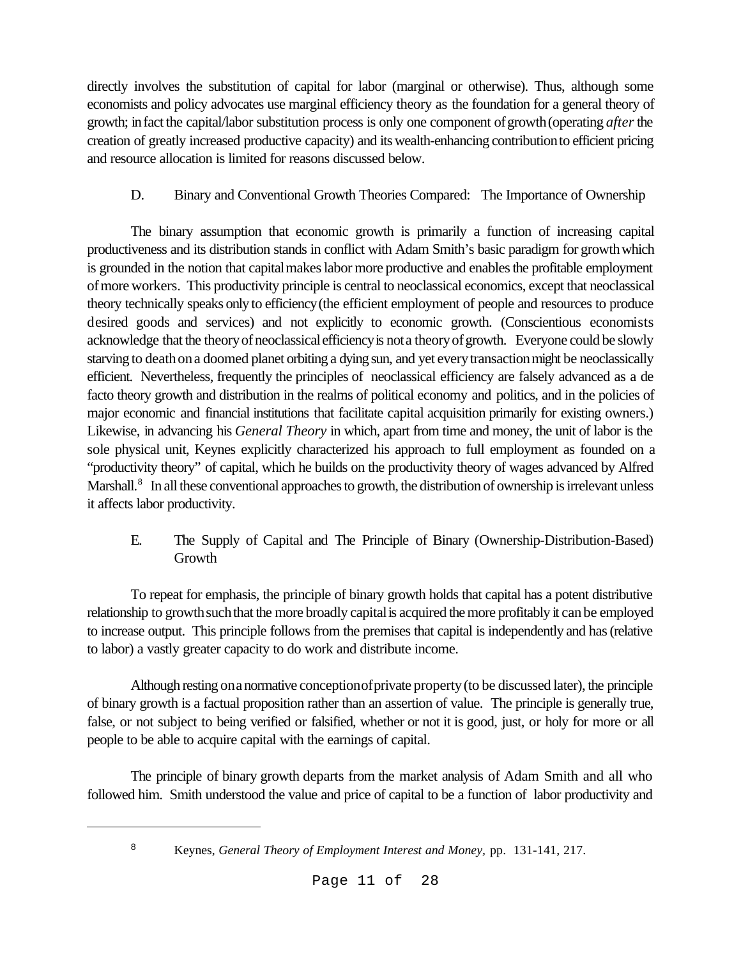directly involves the substitution of capital for labor (marginal or otherwise). Thus, although some economists and policy advocates use marginal efficiency theory as the foundation for a general theory of growth; infact the capital/labor substitution process is only one component ofgrowth(operating *after* the creation of greatly increased productive capacity) and itswealth-enhancing contributionto efficient pricing and resource allocation is limited for reasons discussed below.

# D. Binary and Conventional Growth Theories Compared: The Importance of Ownership

The binary assumption that economic growth is primarily a function of increasing capital productiveness and its distribution stands in conflict with Adam Smith's basic paradigm for growthwhich is grounded in the notion that capital makes labor more productive and enables the profitable employment ofmore workers. This productivity principle is central to neoclassical economics, except that neoclassical theory technically speaks only to efficiency(the efficient employment of people and resources to produce desired goods and services) and not explicitly to economic growth. (Conscientious economists acknowledge that the theoryofneoclassicalefficiencyis nota theoryofgrowth. Everyone could be slowly starving to death on a doomed planet orbiting a dying sun, and yet every transaction might be neoclassically efficient. Nevertheless, frequently the principles of neoclassical efficiency are falsely advanced as a de facto theory growth and distribution in the realms of political economy and politics, and in the policies of major economic and financial institutions that facilitate capital acquisition primarily for existing owners.) Likewise, in advancing his *General Theory* in which, apart from time and money, the unit of labor is the sole physical unit, Keynes explicitly characterized his approach to full employment as founded on a "productivity theory" of capital, which he builds on the productivity theory of wages advanced by Alfred Marshall.<sup>8</sup> In all these conventional approaches to growth, the distribution of ownership is irrelevant unless it affects labor productivity.

# E. The Supply of Capital and The Principle of Binary (Ownership-Distribution-Based) Growth

To repeat for emphasis, the principle of binary growth holds that capital has a potent distributive relationship to growth such that the more broadly capital is acquired the more profitably it can be employed to increase output. This principle follows from the premises that capital is independently and has(relative to labor) a vastly greater capacity to do work and distribute income.

Although resting onanormative conceptionofprivate property(to be discussed later), the principle of binary growth is a factual proposition rather than an assertion of value. The principle is generally true, false, or not subject to being verified or falsified, whether or not it is good, just, or holy for more or all people to be able to acquire capital with the earnings of capital.

The principle of binary growth departs from the market analysis of Adam Smith and all who followed him. Smith understood the value and price of capital to be a function of labor productivity and

<sup>8</sup> Keynes, *General Theory of Employment Interest and Money,* pp. 131-141, 217.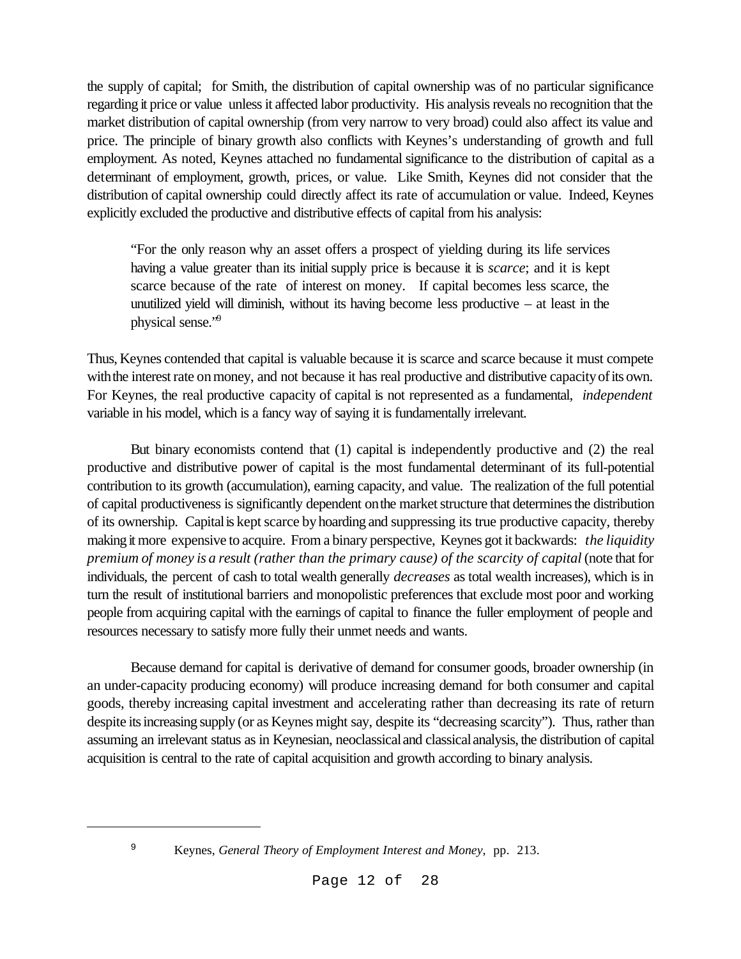the supply of capital; for Smith, the distribution of capital ownership was of no particular significance regarding it price or value unless it affected labor productivity. His analysis reveals no recognition that the market distribution of capital ownership (from very narrow to very broad) could also affect its value and price. The principle of binary growth also conflicts with Keynes's understanding of growth and full employment. As noted, Keynes attached no fundamental significance to the distribution of capital as a determinant of employment, growth, prices, or value. Like Smith, Keynes did not consider that the distribution of capital ownership could directly affect its rate of accumulation or value. Indeed, Keynes explicitly excluded the productive and distributive effects of capital from his analysis:

"For the only reason why an asset offers a prospect of yielding during its life services having a value greater than its initial supply price is because it is *scarce*; and it is kept scarce because of the rate of interest on money. If capital becomes less scarce, the unutilized yield will diminish, without its having become less productive  $-$  at least in the physical sense."<sup>9</sup>

Thus, Keynes contended that capital is valuable because it is scarce and scarce because it must compete with the interest rate on money, and not because it has real productive and distributive capacity of its own. For Keynes, the real productive capacity of capital is not represented as a fundamental, *independent* variable in his model, which is a fancy way of saying it is fundamentally irrelevant.

But binary economists contend that (1) capital is independently productive and (2) the real productive and distributive power of capital is the most fundamental determinant of its full-potential contribution to its growth (accumulation), earning capacity, and value. The realization of the full potential of capital productiveness is significantly dependent on the market structure that determines the distribution of its ownership. Capital is kept scarce by hoarding and suppressing its true productive capacity, thereby making it more expensive to acquire. From a binary perspective, Keynes got it backwards: *the liquidity premium of money is a result (rather than the primary cause) of the scarcity of capital* (note thatfor individuals, the percent of cash to total wealth generally *decreases* as total wealth increases), which is in turn the result of institutional barriers and monopolistic preferences that exclude most poor and working people from acquiring capital with the earnings of capital to finance the fuller employment of people and resources necessary to satisfy more fully their unmet needs and wants.

Because demand for capital is derivative of demand for consumer goods, broader ownership (in an under-capacity producing economy) will produce increasing demand for both consumer and capital goods, thereby increasing capital investment and accelerating rather than decreasing its rate of return despite its increasing supply (or as Keynes might say, despite its "decreasing scarcity"). Thus, rather than assuming an irrelevant status as in Keynesian, neoclassicaland classicalanalysis, the distribution of capital acquisition is central to the rate of capital acquisition and growth according to binary analysis.

<sup>9</sup> Keynes, *General Theory of Employment Interest and Money*, pp. 213.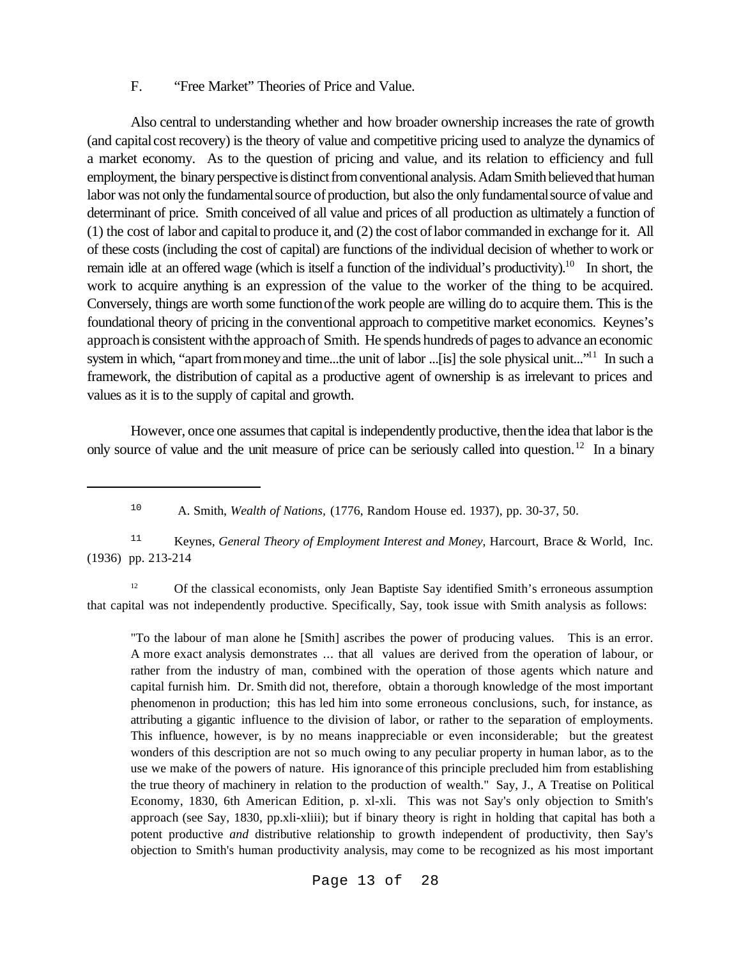### F. "Free Market" Theories of Price and Value.

Also central to understanding whether and how broader ownership increases the rate of growth (and capital cost recovery) is the theory of value and competitive pricing used to analyze the dynamics of a market economy. As to the question of pricing and value, and its relation to efficiency and full employment, the binary perspective is distinct from conventional analysis. Adam Smith believed that human labor was not only the fundamental source of production, but also the only fundamental source of value and determinant of price. Smith conceived of all value and prices of all production as ultimately a function of (1) the cost of labor and capitalto produce it, and (2) the cost oflabor commanded in exchange for it. All of these costs (including the cost of capital) are functions of the individual decision of whether to work or remain idle at an offered wage (which is itself a function of the individual's productivity).<sup>10</sup> In short, the work to acquire anything is an expression of the value to the worker of the thing to be acquired. Conversely, things are worth some functionofthe work people are willing do to acquire them. This is the foundational theory of pricing in the conventional approach to competitive market economics. Keynes's approachis consistent withthe approachof Smith. He spends hundreds of pages to advance an economic system in which, "apart from money and time...the unit of labor ...[is] the sole physical unit..."<sup>11</sup> In such a framework, the distribution of capital as a productive agent of ownership is as irrelevant to prices and values as it is to the supply of capital and growth.

However, once one assumes that capital is independently productive, then the idea that labor is the only source of value and the unit measure of price can be seriously called into question.<sup>12</sup> In a binary

<sup>11</sup> Keynes, *General Theory of Employment Interest and Money*, Harcourt, Brace & World, Inc. (1936) pp. 213-214

<sup>12</sup> Of the classical economists, only Jean Baptiste Say identified Smith's erroneous assumption that capital was not independently productive. Specifically, Say, took issue with Smith analysis as follows:

"To the labour of man alone he [Smith] ascribes the power of producing values. This is an error. A more exact analysis demonstrates ... that all values are derived from the operation of labour, or rather from the industry of man, combined with the operation of those agents which nature and capital furnish him. Dr. Smith did not, therefore, obtain a thorough knowledge of the most important phenomenon in production; this has led him into some erroneous conclusions, such, for instance, as attributing a gigantic influence to the division of labor, or rather to the separation of employments. This influence, however, is by no means inappreciable or even inconsiderable; but the greatest wonders of this description are not so much owing to any peculiar property in human labor, as to the use we make of the powers of nature. His ignorance of this principle precluded him from establishing the true theory of machinery in relation to the production of wealth." Say, J., A Treatise on Political Economy, 1830, 6th American Edition, p. xl-xli. This was not Say's only objection to Smith's approach (see Say, 1830, pp.xli-xliii); but if binary theory is right in holding that capital has both a potent productive *and* distributive relationship to growth independent of productivity, then Say's objection to Smith's human productivity analysis, may come to be recognized as his most important

Page 13 of 28

<sup>10</sup> A. Smith, *Wealth of Nations,* (1776, Random House ed. 1937), pp. 30-37, 50.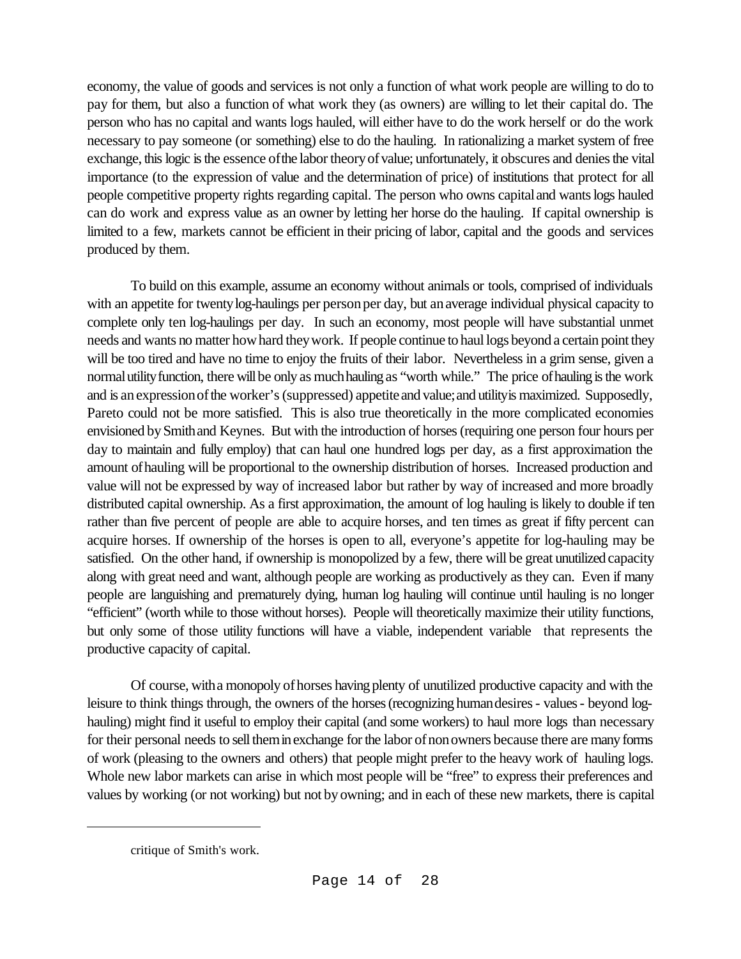economy, the value of goods and services is not only a function of what work people are willing to do to pay for them, but also a function of what work they (as owners) are willing to let their capital do. The person who has no capital and wants logs hauled, will either have to do the work herself or do the work necessary to pay someone (or something) else to do the hauling. In rationalizing a market system of free exchange, this logic is the essence of the labor theory of value; unfortunately, it obscures and denies the vital importance (to the expression of value and the determination of price) of institutions that protect for all people competitive property rights regarding capital. The person who owns capitaland wantslogs hauled can do work and express value as an owner by letting her horse do the hauling. If capital ownership is limited to a few, markets cannot be efficient in their pricing of labor, capital and the goods and services produced by them.

To build on this example, assume an economy without animals or tools, comprised of individuals with an appetite for twenty log-haulings per person per day, but an average individual physical capacity to complete only ten log-haulings per day. In such an economy, most people will have substantial unmet needs and wants no matter howhard theywork. If people continue to haul logs beyond a certain point they will be too tired and have no time to enjoy the fruits of their labor. Nevertheless in a grim sense, given a normal utility function, there will be only as much hauling as "worth while." The price of hauling is the work and is an expression of the worker's (suppressed) appetite and value; and utilityis maximized. Supposedly, Pareto could not be more satisfied. This is also true theoretically in the more complicated economies envisioned bySmithand Keynes. But with the introduction of horses (requiring one person four hours per day to maintain and fully employ) that can haul one hundred logs per day, as a first approximation the amount ofhauling will be proportional to the ownership distribution of horses. Increased production and value will not be expressed by way of increased labor but rather by way of increased and more broadly distributed capital ownership. As a first approximation, the amount of log hauling is likely to double if ten rather than five percent of people are able to acquire horses, and ten times as great if fifty percent can acquire horses. If ownership of the horses is open to all, everyone's appetite for log-hauling may be satisfied. On the other hand, if ownership is monopolized by a few, there will be great unutilized capacity along with great need and want, although people are working as productively as they can. Even if many people are languishing and prematurely dying, human log hauling will continue until hauling is no longer "efficient" (worth while to those without horses). People will theoretically maximize their utility functions, but only some of those utility functions will have a viable, independent variable that represents the productive capacity of capital.

Of course, witha monopoly ofhorses having plenty of unutilized productive capacity and with the leisure to think things through, the owners of the horses (recognizing human desires - values - beyond loghauling) might find it useful to employ their capital (and some workers) to haul more logs than necessary for their personal needs to sell them in exchange for the labor of non owners because there are many forms of work (pleasing to the owners and others) that people might prefer to the heavy work of hauling logs. Whole new labor markets can arise in which most people will be "free" to express their preferences and values by working (or not working) but not byowning; and in each of these new markets, there is capital

critique of Smith's work.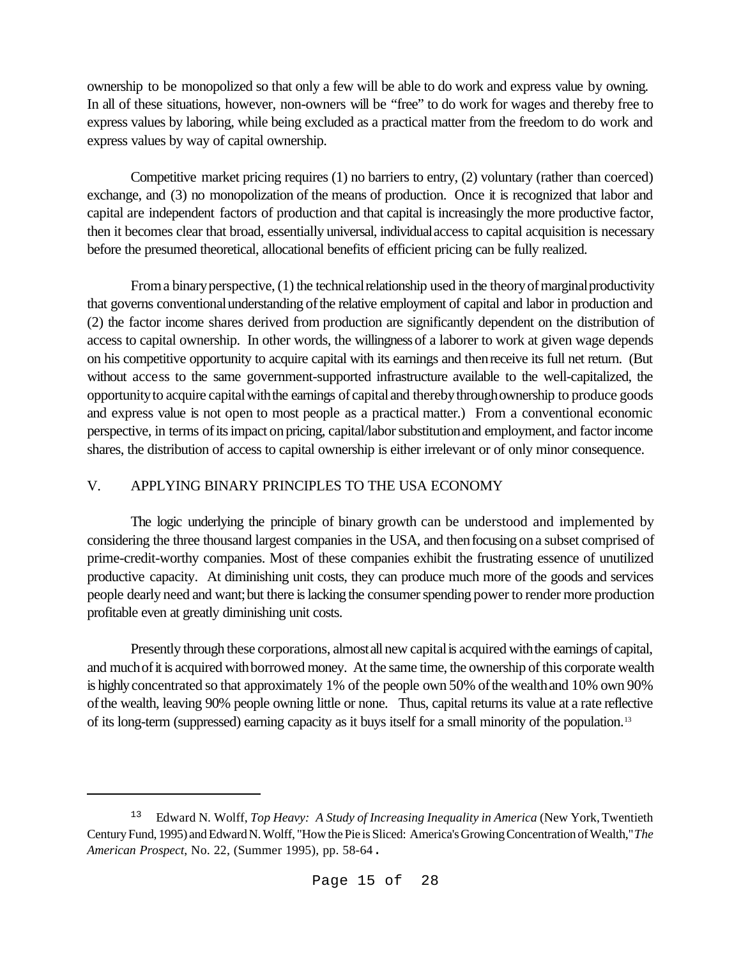ownership to be monopolized so that only a few will be able to do work and express value by owning. In all of these situations, however, non-owners will be "free" to do work for wages and thereby free to express values by laboring, while being excluded as a practical matter from the freedom to do work and express values by way of capital ownership.

Competitive market pricing requires (1) no barriers to entry, (2) voluntary (rather than coerced) exchange, and (3) no monopolization of the means of production. Once it is recognized that labor and capital are independent factors of production and that capital is increasingly the more productive factor, then it becomes clear that broad, essentially universal, individualaccess to capital acquisition is necessary before the presumed theoretical, allocational benefits of efficient pricing can be fully realized.

From a binary perspective,  $(1)$  the technical relationship used in the theory of marginal productivity that governs conventional understanding of the relative employment of capital and labor in production and (2) the factor income shares derived from production are significantly dependent on the distribution of access to capital ownership. In other words, the willingness of a laborer to work at given wage depends on his competitive opportunity to acquire capital with its earnings and thenreceive its full net return. (But without access to the same government-supported infrastructure available to the well-capitalized, the opportunity to acquire capital with the earnings of capital and thereby through ownership to produce goods and express value is not open to most people as a practical matter.) From a conventional economic perspective, in terms of its impact on pricing, capital/labor substitution and employment, and factor income shares, the distribution of access to capital ownership is either irrelevant or of only minor consequence.

## V. APPLYING BINARY PRINCIPLES TO THE USA ECONOMY

The logic underlying the principle of binary growth can be understood and implemented by considering the three thousand largest companies in the USA, and then focusing on a subset comprised of prime-credit-worthy companies. Most of these companies exhibit the frustrating essence of unutilized productive capacity. At diminishing unit costs, they can produce much more of the goods and services people dearly need and want; but there is lacking the consumer spending power to render more production profitable even at greatly diminishing unit costs.

Presently through these corporations, almost all new capital is acquired with the earnings of capital, and much of it is acquired with borrowed money. At the same time, the ownership of this corporate wealth is highly concentrated so that approximately 1% of the people own 50% of the wealth and 10% own 90% ofthe wealth, leaving 90% people owning little or none. Thus, capital returns its value at a rate reflective of its long-term (suppressed) earning capacity as it buys itself for a small minority of the population.<sup>13</sup>

<sup>13</sup> Edward N. Wolff, *Top Heavy: A Study of Increasing Inequality in America* (New York,Twentieth Century Fund, 1995) and Edward N. Wolff, "How the Pie is Sliced: America's Growing Concentration of Wealth," *The American Prospect*, No. 22, (Summer 1995), pp. 58-64.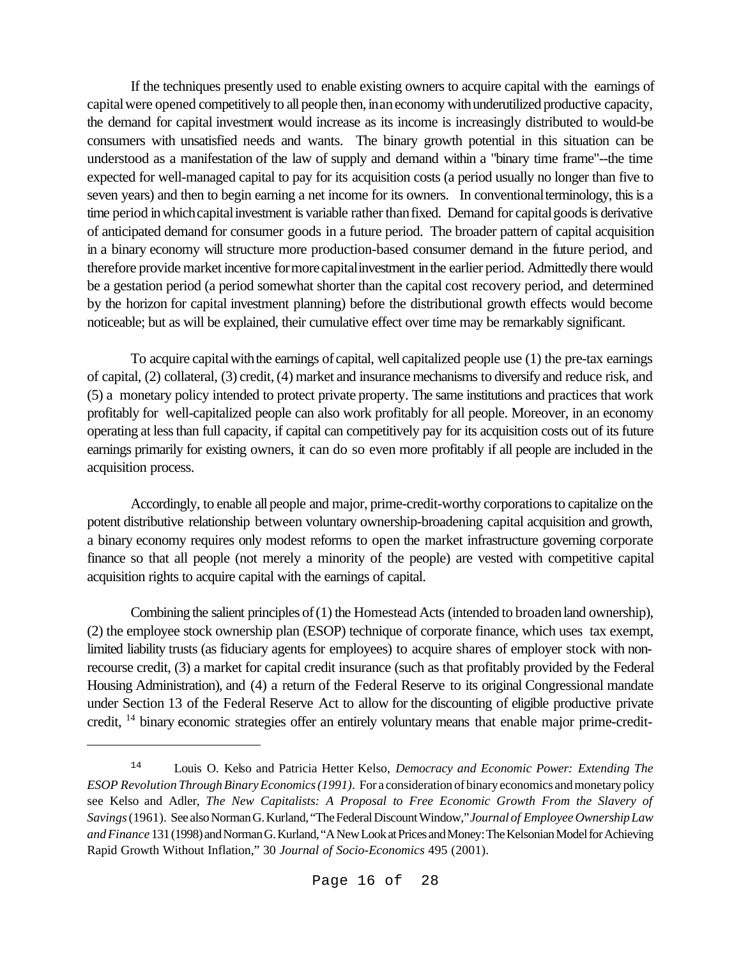If the techniques presently used to enable existing owners to acquire capital with the earnings of capital were opened competitively to all people then, in an economy with underutilized productive capacity, the demand for capital investment would increase as its income is increasingly distributed to would-be consumers with unsatisfied needs and wants. The binary growth potential in this situation can be understood as a manifestation of the law of supply and demand within a "binary time frame"--the time expected for well-managed capital to pay for its acquisition costs (a period usually no longer than five to seven years) and then to begin earning a net income for its owners. In conventional terminology, this is a time period in which capital investment is variable rather than fixed. Demand for capital goods is derivative of anticipated demand for consumer goods in a future period. The broader pattern of capital acquisition in a binary economy will structure more production-based consumer demand in the future period, and therefore provide market incentive formorecapitalinvestment inthe earlier period. Admittedly there would be a gestation period (a period somewhat shorter than the capital cost recovery period, and determined by the horizon for capital investment planning) before the distributional growth effects would become noticeable; but as will be explained, their cumulative effect over time may be remarkably significant.

To acquire capital with the earnings of capital, well capitalized people use (1) the pre-tax earnings of capital, (2) collateral, (3) credit, (4) market and insurance mechanisms to diversify and reduce risk, and (5) a monetary policy intended to protect private property. The same institutions and practices that work profitably for well-capitalized people can also work profitably for all people. Moreover, in an economy operating at lessthan full capacity, if capital can competitively pay for its acquisition costs out of its future earnings primarily for existing owners, it can do so even more profitably if all people are included in the acquisition process.

Accordingly, to enable all people and major, prime-credit-worthy corporations to capitalize on the potent distributive relationship between voluntary ownership-broadening capital acquisition and growth, a binary economy requires only modest reforms to open the market infrastructure governing corporate finance so that all people (not merely a minority of the people) are vested with competitive capital acquisition rights to acquire capital with the earnings of capital.

Combining the salient principles of (1) the Homestead Acts (intended to broaden land ownership), (2) the employee stock ownership plan (ESOP) technique of corporate finance, which uses tax exempt, limited liability trusts (as fiduciary agents for employees) to acquire shares of employer stock with nonrecourse credit, (3) a market for capital credit insurance (such as that profitably provided by the Federal Housing Administration), and (4) a return of the Federal Reserve to its original Congressional mandate under Section 13 of the Federal Reserve Act to allow for the discounting of eligible productive private credit, <sup>14</sup> binary economic strategies offer an entirely voluntary means that enable major prime-credit-

<sup>14</sup> Louis O. Kelso and Patricia Hetter Kelso, *Democracy and Economic Power: Extending The ESOP Revolution ThroughBinaryEconomics(1991)*. For a consideration of binary economics and monetary policy see Kelso and Adler, *The New Capitalists: A Proposal to Free Economic Growth From the Slavery of Savings*(1961). See also Norman G. Kurland, "The Federal Discount Window," *Journal of EmployeeOwnershipLaw andFinance* 131 (1998) and Norman G. Kurland, "A New Look at Prices and Money: The Kelsonian Model for Achieving Rapid Growth Without Inflation," 30 *Journal of Socio-Economics* 495 (2001).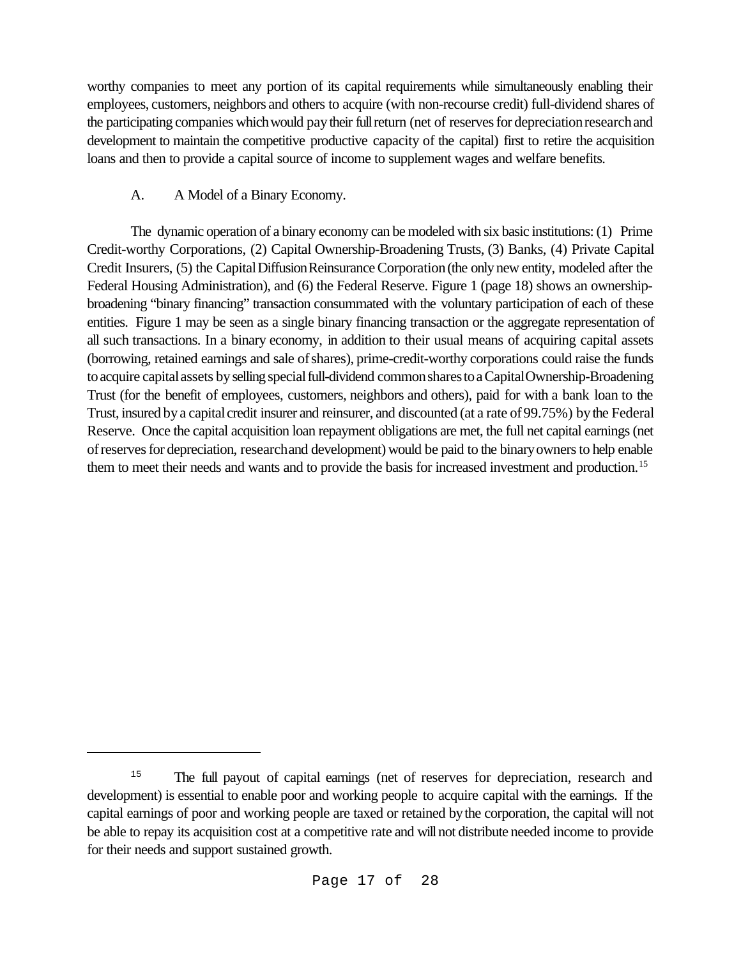worthy companies to meet any portion of its capital requirements while simultaneously enabling their employees, customers, neighbors and others to acquire (with non-recourse credit) full-dividend shares of the participating companies which would pay their full return (net of reserves for depreciation research and development to maintain the competitive productive capacity of the capital) first to retire the acquisition loans and then to provide a capital source of income to supplement wages and welfare benefits.

## A. A Model of a Binary Economy.

The dynamic operation of a binary economy can be modeled with six basic institutions: (1) Prime Credit-worthy Corporations, (2) Capital Ownership-Broadening Trusts, (3) Banks, (4) Private Capital Credit Insurers, (5) the Capital Diffusion Reinsurance Corporation (the only new entity, modeled after the Federal Housing Administration), and (6) the Federal Reserve. Figure 1 (page 18) shows an ownershipbroadening "binary financing" transaction consummated with the voluntary participation of each of these entities. Figure 1 may be seen as a single binary financing transaction or the aggregate representation of all such transactions. In a binary economy, in addition to their usual means of acquiring capital assets (borrowing, retained earnings and sale of shares), prime-credit-worthy corporations could raise the funds toacquire capitalassets byselling specialfull-dividend commonsharestoaCapitalOwnership-Broadening Trust (for the benefit of employees, customers, neighbors and others), paid for with a bank loan to the Trust, insured by a capital credit insurer and reinsurer, and discounted (at a rate of 99.75%) by the Federal Reserve. Once the capital acquisition loan repayment obligations are met, the full net capital earnings (net ofreservesfor depreciation, researchand development) would be paid to the binaryownersto help enable them to meet their needs and wants and to provide the basis for increased investment and production.<sup>15</sup>

<sup>&</sup>lt;sup>15</sup> The full payout of capital earnings (net of reserves for depreciation, research and development) is essential to enable poor and working people to acquire capital with the earnings. If the capital earnings of poor and working people are taxed or retained bythe corporation, the capital will not be able to repay its acquisition cost at a competitive rate and willnot distribute needed income to provide for their needs and support sustained growth.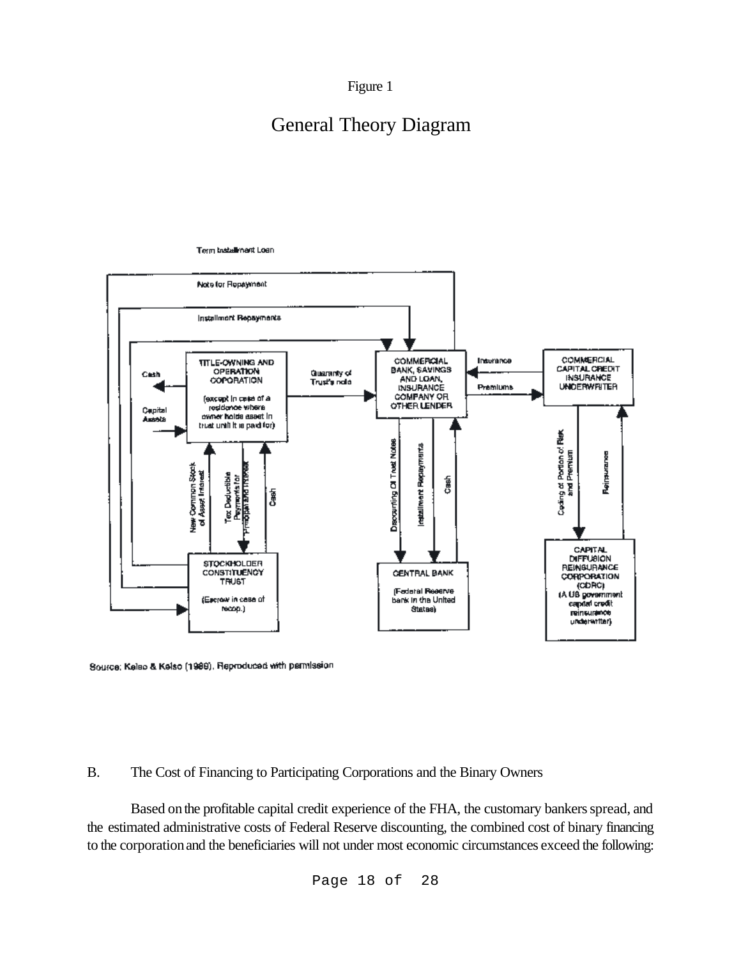### Figure 1

# General Theory Diagram

Term tostallment Loan



Source: Kelso & Kelso (1986). Reproduced with permission

### B. The Cost of Financing to Participating Corporations and the Binary Owners

Based on the profitable capital credit experience of the FHA, the customary bankers spread, and the estimated administrative costs of Federal Reserve discounting, the combined cost of binary financing to the corporation and the beneficiaries will not under most economic circumstances exceed the following: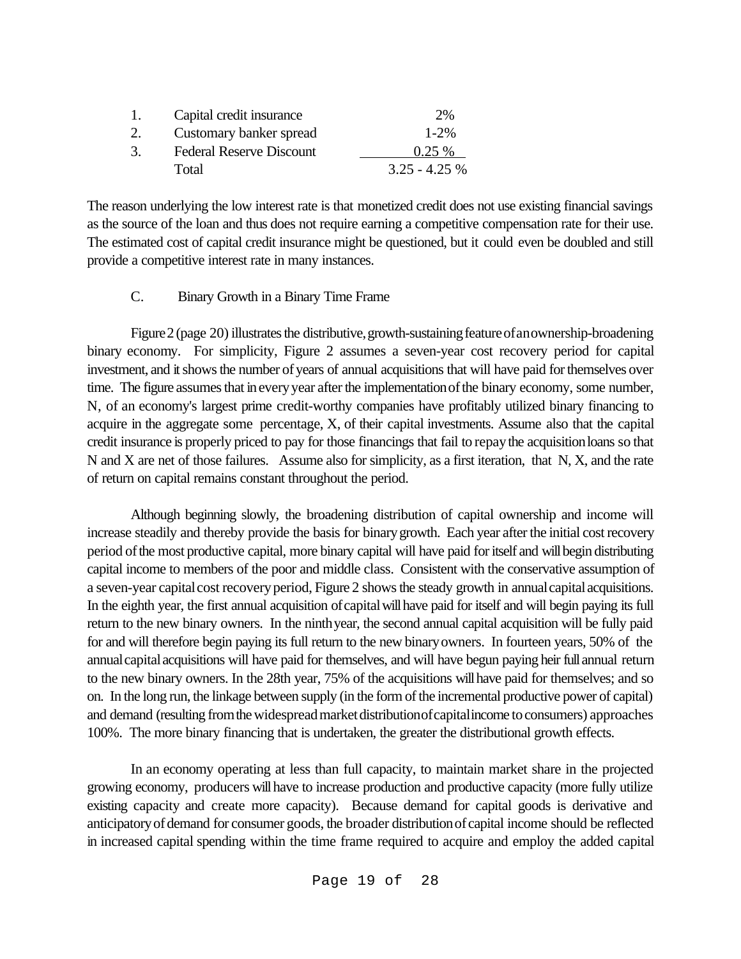| 1. | Capital credit insurance        | 2%               |
|----|---------------------------------|------------------|
| 2. | Customary banker spread         | $1 - 2\%$        |
| 3. | <b>Federal Reserve Discount</b> | $0.25\%$         |
|    | Total                           | $3.25 - 4.25 \%$ |

The reason underlying the low interest rate is that monetized credit does not use existing financial savings as the source of the loan and thus does not require earning a competitive compensation rate for their use. The estimated cost of capital credit insurance might be questioned, but it could even be doubled and still provide a competitive interest rate in many instances.

## C. Binary Growth in a Binary Time Frame

Figure 2 (page 20) illustrates the distributive, growth-sustaining feature of an ownership-broadening binary economy. For simplicity, Figure 2 assumes a seven-year cost recovery period for capital investment, and it shows the number of years of annual acquisitions that will have paid for themselves over time. The figure assumes that in every year after the implementation of the binary economy, some number, N, of an economy's largest prime credit-worthy companies have profitably utilized binary financing to acquire in the aggregate some percentage, X, of their capital investments. Assume also that the capital credit insurance is properly priced to pay for those financings that fail to repaythe acquisitionloans so that N and X are net of those failures. Assume also for simplicity, as a first iteration, that N, X, and the rate of return on capital remains constant throughout the period.

Although beginning slowly, the broadening distribution of capital ownership and income will increase steadily and thereby provide the basis for binarygrowth. Each year after the initial cost recovery period of the most productive capital, more binary capital will have paid for itself and will begin distributing capital income to members of the poor and middle class. Consistent with the conservative assumption of a seven-year capital cost recovery period, Figure 2 shows the steady growth in annual capital acquisitions. In the eighth year, the first annual acquisition of capital will have paid for itself and will begin paying its full return to the new binary owners. In the ninthyear, the second annual capital acquisition will be fully paid for and will therefore begin paying its full return to the new binaryowners. In fourteen years, 50% of the annual capital acquisitions will have paid for themselves, and will have begun paying heir full annual return to the new binary owners. In the 28th year, 75% of the acquisitions willhave paid for themselves; and so on. In the long run, the linkage between supply (in the form of the incremental productive power of capital) and demand (resulting from the widespread market distribution of capital income to consumers) approaches 100%. The more binary financing that is undertaken, the greater the distributional growth effects.

In an economy operating at less than full capacity, to maintain market share in the projected growing economy, producers willhave to increase production and productive capacity (more fully utilize existing capacity and create more capacity). Because demand for capital goods is derivative and anticipatoryofdemand for consumer goods, the broader distributionof capital income should be reflected in increased capital spending within the time frame required to acquire and employ the added capital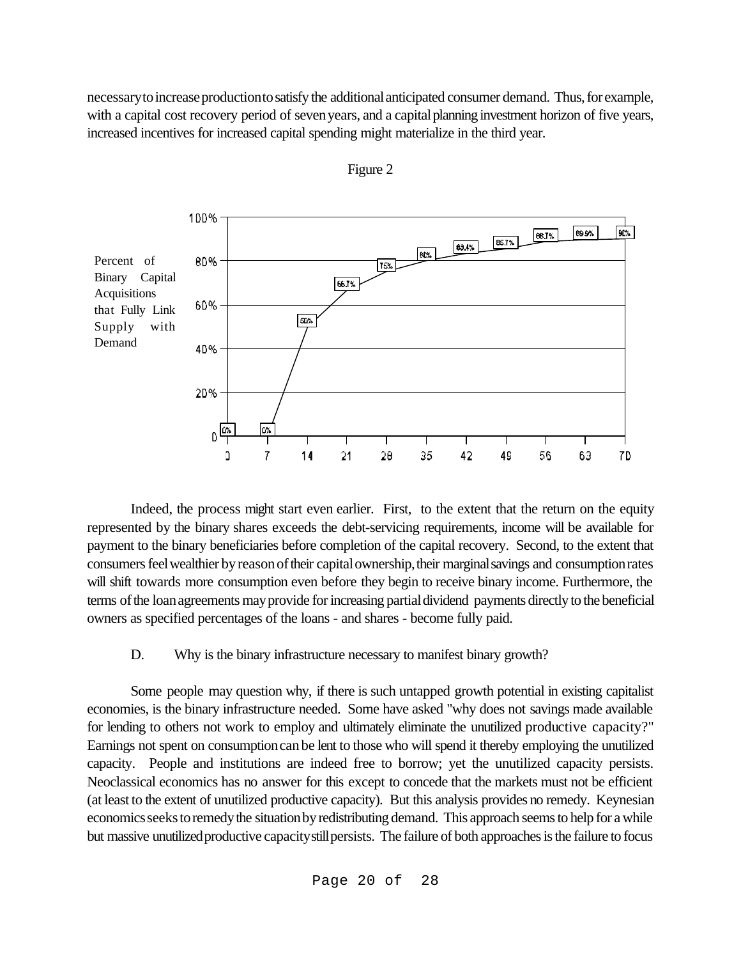necessary to increase production to satisfy the additional anticipated consumer demand. Thus, for example, with a capital cost recovery period of seven years, and a capital planning investment horizon of five years, increased incentives for increased capital spending might materialize in the third year.



Figure 2

Indeed, the process might start even earlier. First, to the extent that the return on the equity represented by the binary shares exceeds the debt-servicing requirements, income will be available for payment to the binary beneficiaries before completion of the capital recovery. Second, to the extent that consumers feel wealthier by reason of their capital ownership, their marginal savings and consumption rates will shift towards more consumption even before they begin to receive binary income. Furthermore, the terms ofthe loanagreements mayprovide forincreasing partialdividend payments directly to the beneficial owners as specified percentages of the loans - and shares - become fully paid.

### D. Why is the binary infrastructure necessary to manifest binary growth?

Some people may question why, if there is such untapped growth potential in existing capitalist economies, is the binary infrastructure needed. Some have asked "why does not savings made available for lending to others not work to employ and ultimately eliminate the unutilized productive capacity?" Earnings not spent on consumptioncanbe lent to those who will spend it thereby employing the unutilized capacity. People and institutions are indeed free to borrow; yet the unutilized capacity persists. Neoclassical economics has no answer for this except to concede that the markets must not be efficient (at least to the extent of unutilized productive capacity). But this analysis provides no remedy. Keynesian economics seeks to remedy the situation by redistributing demand. This approach seems to help for a while but massive unutilized productive capacity still persists. The failure of both approaches is the failure to focus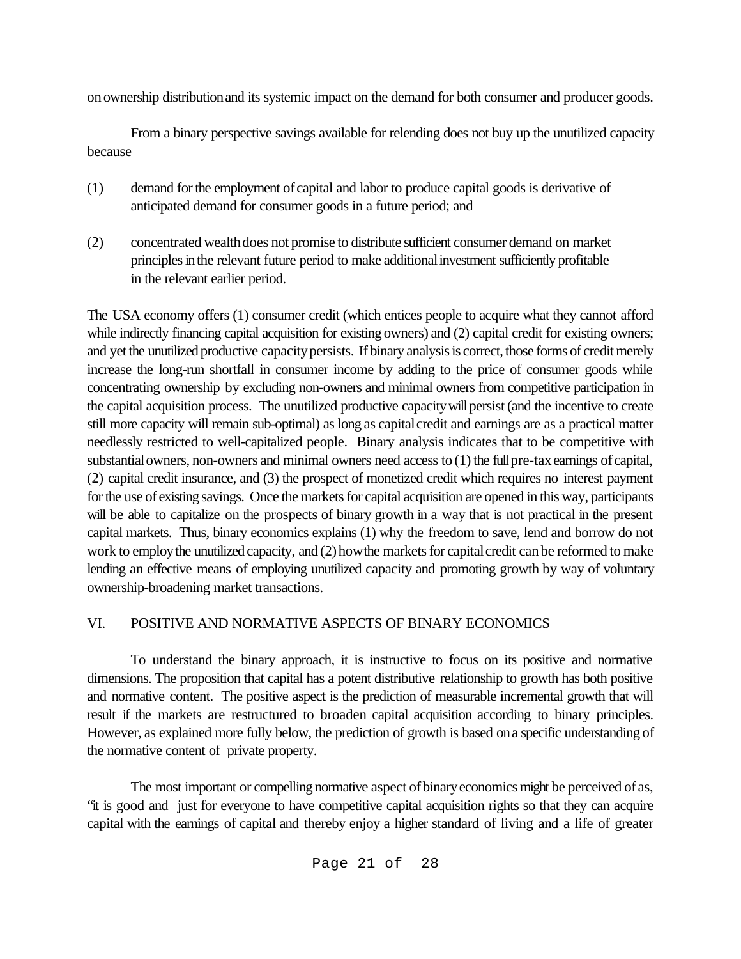onownership distributionand its systemic impact on the demand for both consumer and producer goods.

From a binary perspective savings available for relending does not buy up the unutilized capacity because

- (1) demand forthe employment of capital and labor to produce capital goods is derivative of anticipated demand for consumer goods in a future period; and
- (2) concentrated wealthdoes not promise to distribute sufficient consumer demand on market principles in the relevant future period to make additional investment sufficiently profitable in the relevant earlier period.

The USA economy offers (1) consumer credit (which entices people to acquire what they cannot afford while indirectly financing capital acquisition for existing owners) and (2) capital credit for existing owners; and yet the unutilized productive capacity persists. If binary analysis is correct, those forms of credit merely increase the long-run shortfall in consumer income by adding to the price of consumer goods while concentrating ownership by excluding non-owners and minimal owners from competitive participation in the capital acquisition process. The unutilized productive capacity will persist (and the incentive to create still more capacity will remain sub-optimal) as long as capital credit and earnings are as a practical matter needlessly restricted to well-capitalized people. Binary analysis indicates that to be competitive with substantial owners, non-owners and minimal owners need access to  $(1)$  the full pre-tax earnings of capital, (2) capital credit insurance, and (3) the prospect of monetized credit which requires no interest payment for the use of existing savings. Once the markets for capital acquisition are opened in this way, participants will be able to capitalize on the prospects of binary growth in a way that is not practical in the present capital markets. Thus, binary economics explains (1) why the freedom to save, lend and borrow do not work to employ the unutilized capacity, and (2) how the markets for capital credit can be reformed to make lending an effective means of employing unutilized capacity and promoting growth by way of voluntary ownership-broadening market transactions.

## VI. POSITIVE AND NORMATIVE ASPECTS OF BINARY ECONOMICS

To understand the binary approach, it is instructive to focus on its positive and normative dimensions. The proposition that capital has a potent distributive relationship to growth has both positive and normative content. The positive aspect is the prediction of measurable incremental growth that will result if the markets are restructured to broaden capital acquisition according to binary principles. However, as explained more fully below, the prediction of growth is based ona specific understanding of the normative content of private property.

The most important or compelling normative aspect of binary economics might be perceived of as, "it is good and just for everyone to have competitive capital acquisition rights so that they can acquire capital with the earnings of capital and thereby enjoy a higher standard of living and a life of greater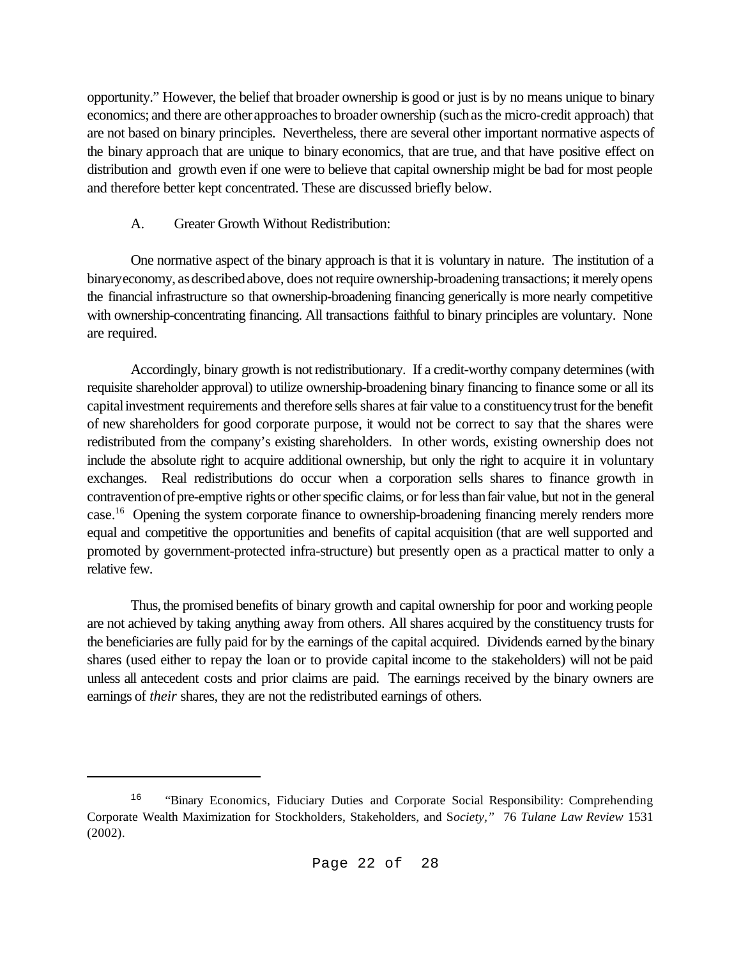opportunity." However, the belief that broader ownership is good or just is by no means unique to binary economics; and there are other approaches to broader ownership (such as the micro-credit approach) that are not based on binary principles. Nevertheless, there are several other important normative aspects of the binary approach that are unique to binary economics, that are true, and that have positive effect on distribution and growth even if one were to believe that capital ownership might be bad for most people and therefore better kept concentrated. These are discussed briefly below.

## A. Greater Growth Without Redistribution:

One normative aspect of the binary approach is that it is voluntary in nature. The institution of a binaryeconomy, as described above, does not require ownership-broadening transactions; it merely opens the financial infrastructure so that ownership-broadening financing generically is more nearly competitive with ownership-concentrating financing. All transactions faithful to binary principles are voluntary. None are required.

Accordingly, binary growth is not redistributionary. If a credit-worthy company determines (with requisite shareholder approval) to utilize ownership-broadening binary financing to finance some or all its capital investment requirements and therefore sells shares at fair value to a constituency trust for the benefit of new shareholders for good corporate purpose, it would not be correct to say that the shares were redistributed from the company's existing shareholders. In other words, existing ownership does not include the absolute right to acquire additional ownership, but only the right to acquire it in voluntary exchanges. Real redistributions do occur when a corporation sells shares to finance growth in contravention of pre-emptive rights or other specific claims, or for less than fair value, but not in the general case.<sup>16</sup> Opening the system corporate finance to ownership-broadening financing merely renders more equal and competitive the opportunities and benefits of capital acquisition (that are well supported and promoted by government-protected infra-structure) but presently open as a practical matter to only a relative few.

Thus, the promised benefits of binary growth and capital ownership for poor and working people are not achieved by taking anything away from others. All shares acquired by the constituency trusts for the beneficiaries are fully paid for by the earnings of the capital acquired. Dividends earned bythe binary shares (used either to repay the loan or to provide capital income to the stakeholders) will not be paid unless all antecedent costs and prior claims are paid. The earnings received by the binary owners are earnings of *their* shares, they are not the redistributed earnings of others.

<sup>&</sup>lt;sup>16</sup> "Binary Economics, Fiduciary Duties and Corporate Social Responsibility: Comprehending Corporate Wealth Maximization for Stockholders, Stakeholders, and S*ociety,"* 76 *Tulane Law Review* 1531 (2002).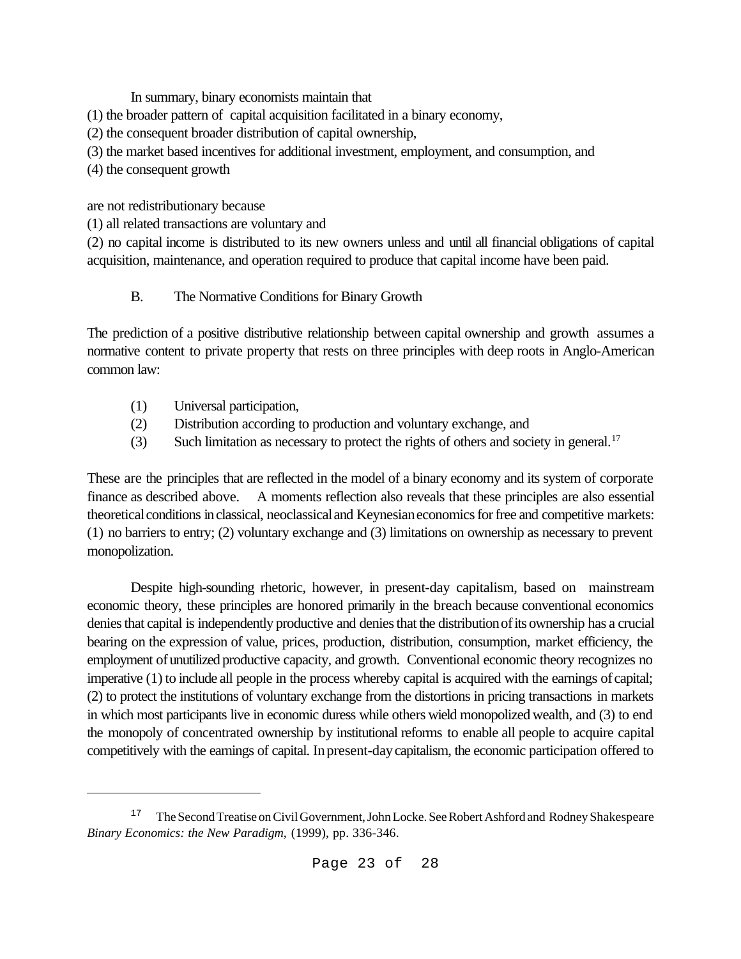In summary, binary economists maintain that

(1) the broader pattern of capital acquisition facilitated in a binary economy,

(2) the consequent broader distribution of capital ownership,

(3) the market based incentives for additional investment, employment, and consumption, and

(4) the consequent growth

are not redistributionary because

(1) all related transactions are voluntary and

(2) no capital income is distributed to its new owners unless and until all financial obligations of capital acquisition, maintenance, and operation required to produce that capital income have been paid.

## B. The Normative Conditions for Binary Growth

The prediction of a positive distributive relationship between capital ownership and growth assumes a normative content to private property that rests on three principles with deep roots in Anglo-American common law:

- (1) Universal participation,
- (2) Distribution according to production and voluntary exchange, and
- (3) Such limitation as necessary to protect the rights of others and society in general.<sup>17</sup>

These are the principles that are reflected in the model of a binary economy and its system of corporate finance as described above. A moments reflection also reveals that these principles are also essential theoretical conditions in classical, neoclassical and Keynesian economics for free and competitive markets: (1) no barriers to entry; (2) voluntary exchange and (3) limitations on ownership as necessary to prevent monopolization.

Despite high-sounding rhetoric, however, in present-day capitalism, based on mainstream economic theory, these principles are honored primarily in the breach because conventional economics denies that capital is independently productive and denies that the distribution of its ownership has a crucial bearing on the expression of value, prices, production, distribution, consumption, market efficiency, the employment of unutilized productive capacity, and growth. Conventional economic theory recognizes no imperative (1) to include all people in the process whereby capital is acquired with the earnings of capital; (2) to protect the institutions of voluntary exchange from the distortions in pricing transactions in markets in which most participants live in economic duress while others wield monopolized wealth, and (3) to end the monopoly of concentrated ownership by institutional reforms to enable all people to acquire capital competitively with the earnings of capital. Inpresent-daycapitalism, the economic participation offered to

<sup>&</sup>lt;sup>17</sup> The Second Treatise on Civil Government, John Locke. See Robert Ashford and Rodney Shakespeare *Binary Economics: the New Paradigm,* (1999), pp. 336-346.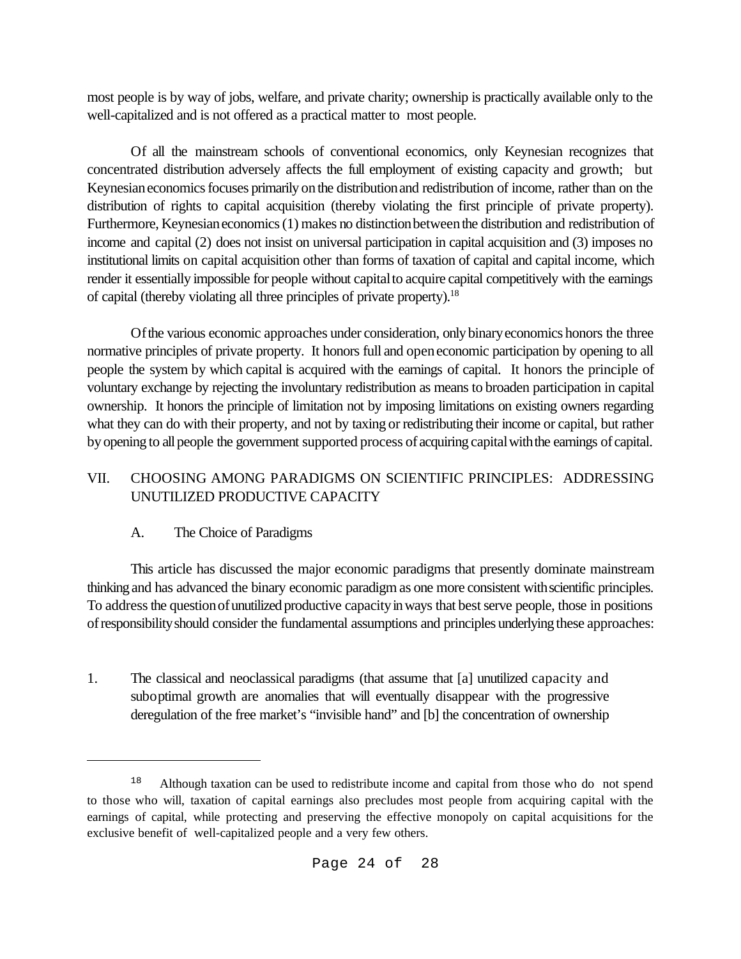most people is by way of jobs, welfare, and private charity; ownership is practically available only to the well-capitalized and is not offered as a practical matter to most people.

Of all the mainstream schools of conventional economics, only Keynesian recognizes that concentrated distribution adversely affects the full employment of existing capacity and growth; but Keynesian economics focuses primarily on the distribution and redistribution of income, rather than on the distribution of rights to capital acquisition (thereby violating the first principle of private property). Furthermore, Keynesian economics (1) makes no distinction between the distribution and redistribution of income and capital (2) does not insist on universal participation in capital acquisition and (3) imposes no institutional limits on capital acquisition other than forms of taxation of capital and capital income, which render it essentially impossible for people without capital to acquire capital competitively with the earnings of capital (thereby violating all three principles of private property).<sup>18</sup>

Ofthe various economic approaches under consideration, only binaryeconomics honors the three normative principles of private property. It honors full and openeconomic participation by opening to all people the system by which capital is acquired with the earnings of capital. It honors the principle of voluntary exchange by rejecting the involuntary redistribution as means to broaden participation in capital ownership. It honors the principle of limitation not by imposing limitations on existing owners regarding what they can do with their property, and not by taxing or redistributing their income or capital, but rather by opening to all people the government supported process of acquiring capital with the earnings of capital.

## VII. CHOOSING AMONG PARADIGMS ON SCIENTIFIC PRINCIPLES: ADDRESSING UNUTILIZED PRODUCTIVE CAPACITY

## A. The Choice of Paradigms

This article has discussed the major economic paradigms that presently dominate mainstream thinking and has advanced the binary economic paradigmas one more consistent withscientific principles. To address the question of unutilized productive capacity in ways that best serve people, those in positions ofresponsibilityshould consider the fundamental assumptions and principles underlying these approaches:

1. The classical and neoclassical paradigms (that assume that [a] unutilized capacity and suboptimal growth are anomalies that will eventually disappear with the progressive deregulation of the free market's "invisible hand" and [b] the concentration of ownership

 $18$  Although taxation can be used to redistribute income and capital from those who do not spend to those who will, taxation of capital earnings also precludes most people from acquiring capital with the earnings of capital, while protecting and preserving the effective monopoly on capital acquisitions for the exclusive benefit of well-capitalized people and a very few others.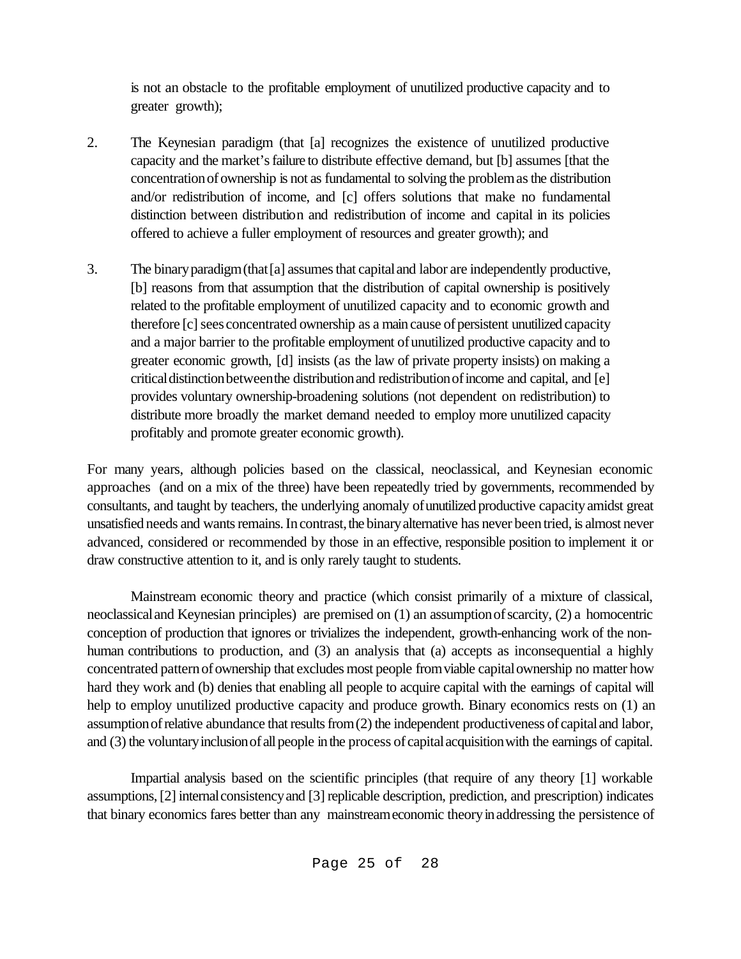is not an obstacle to the profitable employment of unutilized productive capacity and to greater growth);

- 2. The Keynesian paradigm (that [a] recognizes the existence of unutilized productive capacity and the market'sfailure to distribute effective demand, but [b] assumes [that the concentration of ownership is not as fundamental to solving the problem as the distribution and/or redistribution of income, and [c] offers solutions that make no fundamental distinction between distribution and redistribution of income and capital in its policies offered to achieve a fuller employment of resources and greater growth); and
- 3. The binaryparadigm(that[a] assumesthat capitaland labor are independently productive, [b] reasons from that assumption that the distribution of capital ownership is positively related to the profitable employment of unutilized capacity and to economic growth and therefore [c] sees concentrated ownership as a main cause of persistent unutilized capacity and a major barrier to the profitable employment of unutilized productive capacity and to greater economic growth, [d] insists (as the law of private property insists) on making a critical distinction between the distribution and redistribution of income and capital, and [e] provides voluntary ownership-broadening solutions (not dependent on redistribution) to distribute more broadly the market demand needed to employ more unutilized capacity profitably and promote greater economic growth).

For many years, although policies based on the classical, neoclassical, and Keynesian economic approaches (and on a mix of the three) have been repeatedly tried by governments, recommended by consultants, and taught by teachers, the underlying anomaly ofunutilized productive capacityamidst great unsatisfied needs and wants remains. In contrast, the binary alternative has never been tried, is almost never advanced, considered or recommended by those in an effective, responsible position to implement it or draw constructive attention to it, and is only rarely taught to students.

Mainstream economic theory and practice (which consist primarily of a mixture of classical, neoclassicaland Keynesian principles) are premised on (1) an assumptionofscarcity, (2) a homocentric conception of production that ignores or trivializes the independent, growth-enhancing work of the nonhuman contributions to production, and (3) an analysis that (a) accepts as inconsequential a highly concentrated pattern of ownership that excludes most people from viable capital ownership no matter how hard they work and (b) denies that enabling all people to acquire capital with the earnings of capital will help to employ unutilized productive capacity and produce growth. Binary economics rests on  $(1)$  an assumption of relative abundance that results from  $(2)$  the independent productiveness of capital and labor, and (3) the voluntary inclusion of all people in the process of capital acquisition with the earnings of capital.

Impartial analysis based on the scientific principles (that require of any theory [1] workable assumptions, [2] internal consistency and [3] replicable description, prediction, and prescription) indicates that binary economics fares better than any mainstreameconomic theoryinaddressing the persistence of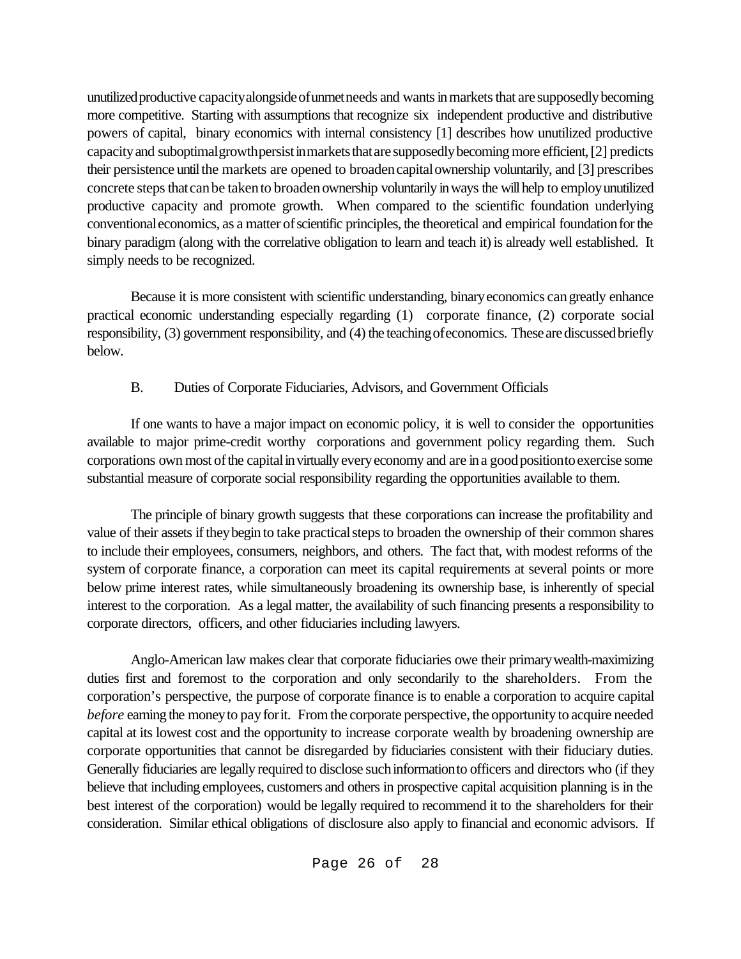unutilized productive capacity alongside of unmet needs and wants in markets that are supposedly becoming more competitive. Starting with assumptions that recognize six independent productive and distributive powers of capital, binary economics with internal consistency [1] describes how unutilized productive capacity and suboptimal growth persist in markets that are supposedly becoming more efficient, [2] predicts their persistence until the markets are opened to broaden capital ownership voluntarily, and [3] prescribes concrete steps that can be taken to broaden ownership voluntarily in ways the will help to employ unutilized productive capacity and promote growth. When compared to the scientific foundation underlying conventional economics, as a matter of scientific principles, the theoretical and empirical foundation for the binary paradigm (along with the correlative obligation to learn and teach it) is already well established. It simply needs to be recognized.

Because it is more consistent with scientific understanding, binaryeconomics cangreatly enhance practical economic understanding especially regarding (1) corporate finance, (2) corporate social responsibility, (3) government responsibility, and (4) the teaching of economics. These are discussed briefly below.

## B. Duties of Corporate Fiduciaries, Advisors, and Government Officials

If one wants to have a major impact on economic policy, it is well to consider the opportunities available to major prime-credit worthy corporations and government policy regarding them. Such corporations own most of the capital in virtually every economy and are in a good position to exercise some substantial measure of corporate social responsibility regarding the opportunities available to them.

The principle of binary growth suggests that these corporations can increase the profitability and value of their assets if they begin to take practical steps to broaden the ownership of their common shares to include their employees, consumers, neighbors, and others. The fact that, with modest reforms of the system of corporate finance, a corporation can meet its capital requirements at several points or more below prime interest rates, while simultaneously broadening its ownership base, is inherently of special interest to the corporation. As a legal matter, the availability of such financing presents a responsibility to corporate directors, officers, and other fiduciaries including lawyers.

Anglo-American law makes clear that corporate fiduciaries owe their primarywealth-maximizing duties first and foremost to the corporation and only secondarily to the shareholders. From the corporation's perspective, the purpose of corporate finance is to enable a corporation to acquire capital *before* earning the money to pay for it. From the corporate perspective, the opportunity to acquire needed capital at its lowest cost and the opportunity to increase corporate wealth by broadening ownership are corporate opportunities that cannot be disregarded by fiduciaries consistent with their fiduciary duties. Generally fiduciaries are legally required to disclose suchinformationto officers and directors who (if they believe that including employees, customers and others in prospective capital acquisition planning is in the best interest of the corporation) would be legally required to recommend it to the shareholders for their consideration. Similar ethical obligations of disclosure also apply to financial and economic advisors. If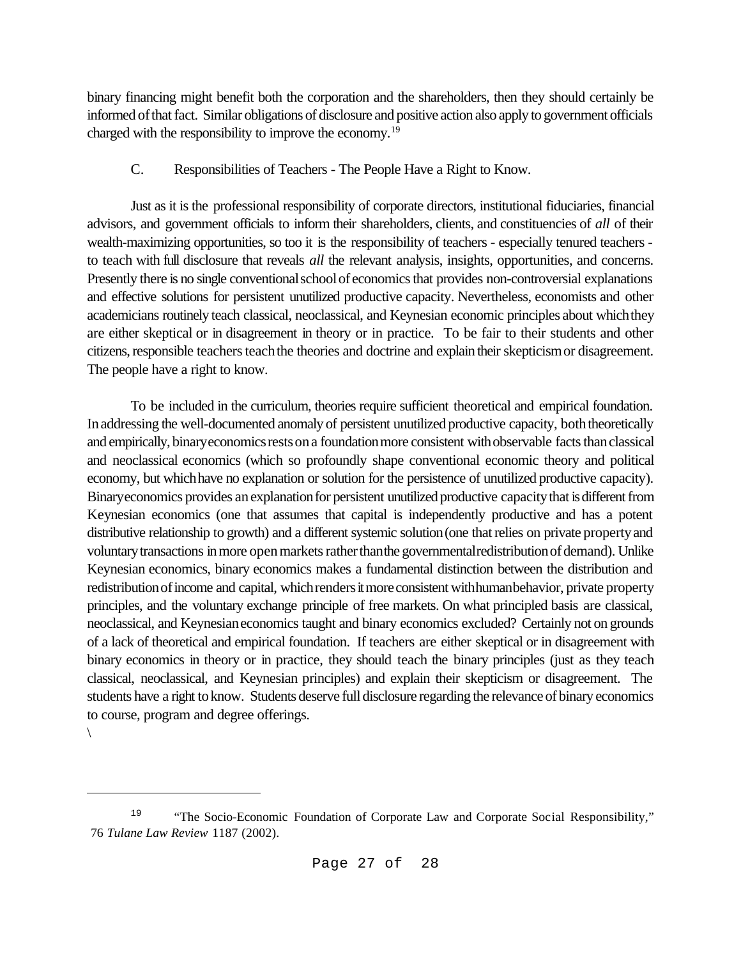binary financing might benefit both the corporation and the shareholders, then they should certainly be informed ofthatfact. Similar obligations of disclosure and positive action also apply to government officials charged with the responsibility to improve the economy.<sup>19</sup>

# C. Responsibilities of Teachers - The People Have a Right to Know.

Just as it is the professional responsibility of corporate directors, institutional fiduciaries, financial advisors, and government officials to inform their shareholders, clients, and constituencies of *all* of their wealth-maximizing opportunities, so too it is the responsibility of teachers - especially tenured teachers to teach with full disclosure that reveals *all* the relevant analysis, insights, opportunities, and concerns. Presently there is no single conventional school of economics that provides non-controversial explanations and effective solutions for persistent unutilized productive capacity. Nevertheless, economists and other academicians routinely teach classical, neoclassical, and Keynesian economic principles about whichthey are either skeptical or in disagreement in theory or in practice. To be fair to their students and other citizens, responsible teachers teach the theories and doctrine and explain their skepticism or disagreement. The people have a right to know.

To be included in the curriculum, theories require sufficient theoretical and empirical foundation. Inaddressing the well-documented anomaly of persistent unutilized productive capacity, boththeoretically and empirically, binary economics rests on a foundation more consistent with observable facts than classical and neoclassical economics (which so profoundly shape conventional economic theory and political economy, but whichhave no explanation or solution for the persistence of unutilized productive capacity). Binaryeconomics provides an explanation for persistent unutilized productive capacity that is different from Keynesian economics (one that assumes that capital is independently productive and has a potent distributive relationship to growth) and a different systemic solution (one that relies on private property and voluntary transactions in more open markets rather than the governmental redistribution of demand). Unlike Keynesian economics, binary economics makes a fundamental distinction between the distribution and redistribution of income and capital, which renders it more consistent with human behavior, private property principles, and the voluntary exchange principle of free markets. On what principled basis are classical, neoclassical, and Keynesianeconomics taught and binary economics excluded? Certainly not on grounds of a lack of theoretical and empirical foundation. If teachers are either skeptical or in disagreement with binary economics in theory or in practice, they should teach the binary principles (just as they teach classical, neoclassical, and Keynesian principles) and explain their skepticism or disagreement. The students have a right toknow. Students deserve full disclosure regarding the relevance of binary economics to course, program and degree offerings.

 $\backslash$ 

<sup>&</sup>lt;sup>19</sup> "The Socio-Economic Foundation of Corporate Law and Corporate Social Responsibility," 76 *Tulane Law Review* 1187 (2002).